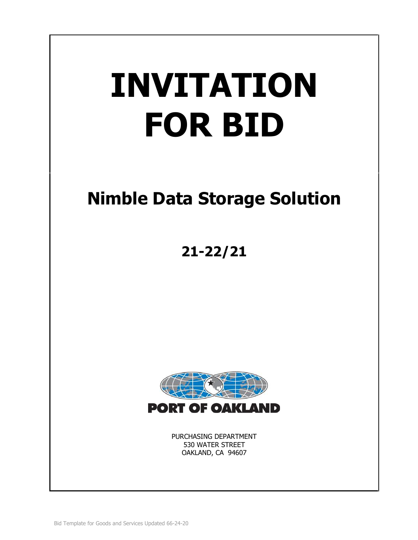# **INVITATION FOR BID**

# **Nimble Data Storage Solution**

**21-22/21**



PURCHASING DEPARTMENT 530 WATER STREET OAKLAND, CA 94607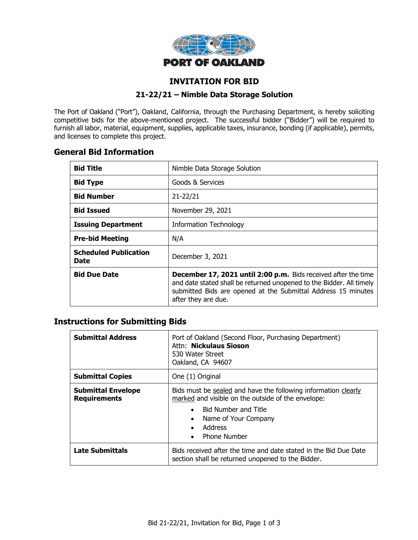

# **INVITATION FOR BID**

# **21-22/21 – Nimble Data Storage Solution**

The Port of Oakland ("Port"), Oakland, California, through the Purchasing Department, is hereby soliciting competitive bids for the above-mentioned project. The successful bidder ("Bidder") will be required to furnish all labor, material, equipment, supplies, applicable taxes, insurance, bonding (if applicable), permits, and licenses to complete this project.

# **General Bid Information**

| <b>Bid Title</b>                     | Nimble Data Storage Solution                                                                                                                                                                                                          |  |  |
|--------------------------------------|---------------------------------------------------------------------------------------------------------------------------------------------------------------------------------------------------------------------------------------|--|--|
| <b>Bid Type</b>                      | Goods & Services                                                                                                                                                                                                                      |  |  |
| <b>Bid Number</b>                    | $21 - 22/21$                                                                                                                                                                                                                          |  |  |
| <b>Bid Issued</b>                    | November 29, 2021                                                                                                                                                                                                                     |  |  |
| <b>Issuing Department</b>            | <b>Information Technology</b>                                                                                                                                                                                                         |  |  |
| <b>Pre-bid Meeting</b>               | N/A                                                                                                                                                                                                                                   |  |  |
| <b>Scheduled Publication</b><br>Date | December 3, 2021                                                                                                                                                                                                                      |  |  |
| <b>Bid Due Date</b>                  | <b>December 17, 2021 until 2:00 p.m.</b> Bids received after the time<br>and date stated shall be returned unopened to the Bidder. All timely<br>submitted Bids are opened at the Submittal Address 15 minutes<br>after they are due. |  |  |

# **Instructions for Submitting Bids**

| <b>Submittal Address</b>                         | Port of Oakland (Second Floor, Purchasing Department)<br>Attn: Nickulaus Sioson<br>530 Water Street<br>Oakland, CA 94607                                                                                                                                          |  |
|--------------------------------------------------|-------------------------------------------------------------------------------------------------------------------------------------------------------------------------------------------------------------------------------------------------------------------|--|
| <b>Submittal Copies</b>                          | One (1) Original                                                                                                                                                                                                                                                  |  |
| <b>Submittal Envelope</b><br><b>Requirements</b> | Bids must be sealed and have the following information clearly<br>marked and visible on the outside of the envelope:<br><b>Bid Number and Title</b><br>$\bullet$<br>Name of Your Company<br>$\bullet$<br>Address<br>$\bullet$<br><b>Phone Number</b><br>$\bullet$ |  |
| <b>Late Submittals</b>                           | Bids received after the time and date stated in the Bid Due Date<br>section shall be returned unopened to the Bidder.                                                                                                                                             |  |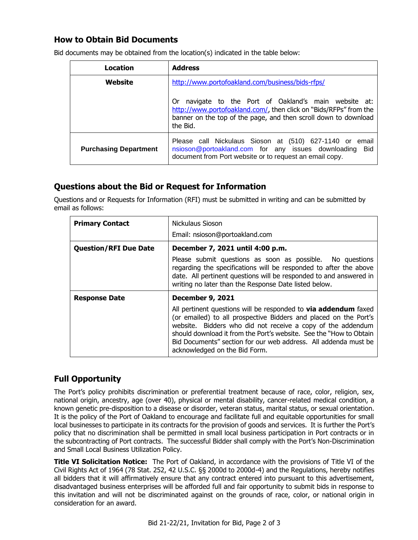# **How to Obtain Bid Documents**

| Location                     | <b>Address</b>                                                                                                                                                                                               |  |  |
|------------------------------|--------------------------------------------------------------------------------------------------------------------------------------------------------------------------------------------------------------|--|--|
| Website                      | http://www.portofoakland.com/business/bids-rfps/                                                                                                                                                             |  |  |
|                              | navigate to the Port of Oakland's main website at:<br>0r<br>http://www.portofoakland.com/, then click on "Bids/RFPs" from the<br>banner on the top of the page, and then scroll down to download<br>the Bid. |  |  |
| <b>Purchasing Department</b> | Please call Nickulaus Sioson at (510) 627-1140 or email<br>nsioson@portoakland.com for any issues downloading<br>– Bid<br>document from Port website or to request an email copy.                            |  |  |

Bid documents may be obtained from the location(s) indicated in the table below:

# **Questions about the Bid or Request for Information**

Questions and or Requests for Information (RFI) must be submitted in writing and can be submitted by email as follows:

| <b>Primary Contact</b>       | Nickulaus Sioson                                                                                                                                                                                                                                                                                                                                                                    |  |  |
|------------------------------|-------------------------------------------------------------------------------------------------------------------------------------------------------------------------------------------------------------------------------------------------------------------------------------------------------------------------------------------------------------------------------------|--|--|
|                              | Email: nsioson@portoakland.com                                                                                                                                                                                                                                                                                                                                                      |  |  |
| <b>Question/RFI Due Date</b> | December 7, 2021 until 4:00 p.m.                                                                                                                                                                                                                                                                                                                                                    |  |  |
|                              | Please submit questions as soon as possible. No questions<br>regarding the specifications will be responded to after the above<br>date. All pertinent questions will be responded to and answered in<br>writing no later than the Response Date listed below.                                                                                                                       |  |  |
| <b>Response Date</b>         | <b>December 9, 2021</b>                                                                                                                                                                                                                                                                                                                                                             |  |  |
|                              | All pertinent questions will be responded to <b>via addendum</b> faxed<br>(or emailed) to all prospective Bidders and placed on the Port's<br>website. Bidders who did not receive a copy of the addendum<br>should download it from the Port's website. See the "How to Obtain<br>Bid Documents" section for our web address. All addenda must be<br>acknowledged on the Bid Form. |  |  |

# **Full Opportunity**

The Port's policy prohibits discrimination or preferential treatment because of race, color, religion, sex, national origin, ancestry, age (over 40), physical or mental disability, cancer-related medical condition, a known genetic pre-disposition to a disease or disorder, veteran status, marital status, or sexual orientation. It is the policy of the Port of Oakland to encourage and facilitate full and equitable opportunities for small local businesses to participate in its contracts for the provision of goods and services. It is further the Port's policy that no discrimination shall be permitted in small local business participation in Port contracts or in the subcontracting of Port contracts. The successful Bidder shall comply with the Port's Non-Discrimination and Small Local Business Utilization Policy.

**Title VI Solicitation Notice:** The Port of Oakland, in accordance with the provisions of Title VI of the Civil Rights Act of 1964 (78 Stat. 252, 42 U.S.C. §§ 2000d to 2000d-4) and the Regulations, hereby notifies all bidders that it will affirmatively ensure that any contract entered into pursuant to this advertisement, disadvantaged business enterprises will be afforded full and fair opportunity to submit bids in response to this invitation and will not be discriminated against on the grounds of race, color, or national origin in consideration for an award.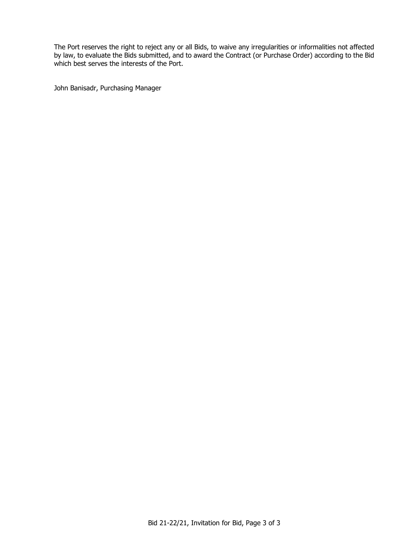The Port reserves the right to reject any or all Bids, to waive any irregularities or informalities not affected by law, to evaluate the Bids submitted, and to award the Contract (or Purchase Order) according to the Bid which best serves the interests of the Port.

John Banisadr, Purchasing Manager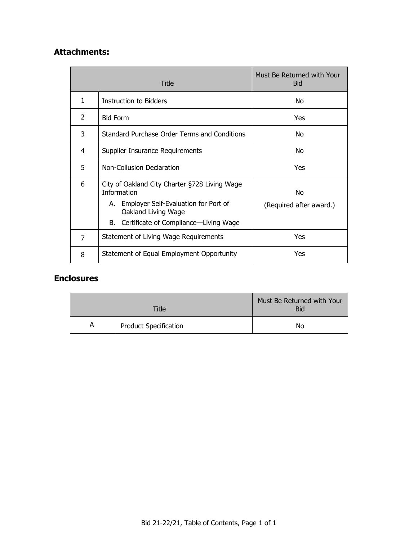# **Attachments:**

|   | Title                                                                                                          | Must Be Returned with Your<br><b>Bid</b> |
|---|----------------------------------------------------------------------------------------------------------------|------------------------------------------|
| 1 | Instruction to Bidders                                                                                         | No                                       |
| 2 | <b>Bid Form</b>                                                                                                | <b>Yes</b>                               |
| 3 | Standard Purchase Order Terms and Conditions                                                                   | No                                       |
| 4 | Supplier Insurance Requirements                                                                                | No.                                      |
| 5 | Non-Collusion Declaration                                                                                      | Yes                                      |
| 6 | City of Oakland City Charter §728 Living Wage<br><b>Information</b><br>A. Employer Self-Evaluation for Port of | No                                       |
|   | Oakland Living Wage                                                                                            | (Required after award.)                  |
|   | B. Certificate of Compliance—Living Wage                                                                       |                                          |
| 7 | Statement of Living Wage Requirements                                                                          | Yes                                      |
| 8 | Statement of Equal Employment Opportunity                                                                      | Yes                                      |

# **Enclosures**

| <b>Title</b> |                              | Must Be Returned with Your<br>Bid |
|--------------|------------------------------|-----------------------------------|
| A            | <b>Product Specification</b> | No                                |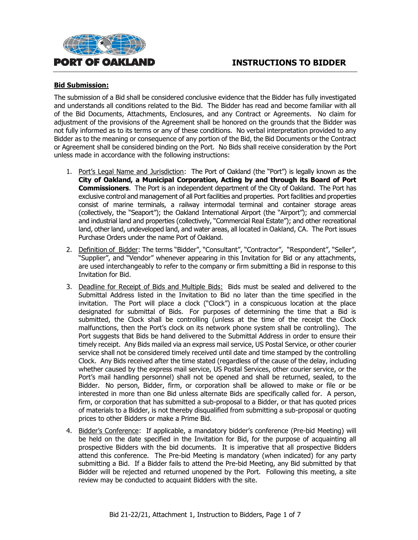



#### **Bid Submission:**

The submission of a Bid shall be considered conclusive evidence that the Bidder has fully investigated and understands all conditions related to the Bid. The Bidder has read and become familiar with all of the Bid Documents, Attachments, Enclosures, and any Contract or Agreements. No claim for adjustment of the provisions of the Agreement shall be honored on the grounds that the Bidder was not fully informed as to its terms or any of these conditions. No verbal interpretation provided to any Bidder as to the meaning or consequence of any portion of the Bid, the Bid Documents or the Contract or Agreement shall be considered binding on the Port. No Bids shall receive consideration by the Port unless made in accordance with the following instructions:

- 1. Port's Legal Name and Jurisdiction: The Port of Oakland (the "Port") is legally known as the **City of Oakland, a Municipal Corporation, Acting by and through its Board of Port Commissioners**. The Port is an independent department of the City of Oakland. The Port has exclusive control and management of all Port facilities and properties. Port facilities and properties consist of marine terminals, a railway intermodal terminal and container storage areas (collectively, the "Seaport"); the Oakland International Airport (the "Airport"); and commercial and industrial land and properties (collectively, "Commercial Real Estate"); and other recreational land, other land, undeveloped land, and water areas, all located in Oakland, CA. The Port issues Purchase Orders under the name Port of Oakland.
- 2. Definition of Bidder: The terms "Bidder", "Consultant", "Contractor", "Respondent", "Seller", "Supplier", and "Vendor" whenever appearing in this Invitation for Bid or any attachments, are used interchangeably to refer to the company or firm submitting a Bid in response to this Invitation for Bid.
- 3. Deadline for Receipt of Bids and Multiple Bids: Bids must be sealed and delivered to the Submittal Address listed in the Invitation to Bid no later than the time specified in the invitation. The Port will place a clock ("Clock") in a conspicuous location at the place designated for submittal of Bids. For purposes of determining the time that a Bid is submitted, the Clock shall be controlling (unless at the time of the receipt the Clock malfunctions, then the Port's clock on its network phone system shall be controlling). The Port suggests that Bids be hand delivered to the Submittal Address in order to ensure their timely receipt. Any Bids mailed via an express mail service, US Postal Service, or other courier service shall not be considered timely received until date and time stamped by the controlling Clock. Any Bids received after the time stated (regardless of the cause of the delay, including whether caused by the express mail service, US Postal Services, other courier service, or the Port's mail handling personnel) shall not be opened and shall be returned, sealed, to the Bidder. No person, Bidder, firm, or corporation shall be allowed to make or file or be interested in more than one Bid unless alternate Bids are specifically called for. A person, firm, or corporation that has submitted a sub-proposal to a Bidder, or that has quoted prices of materials to a Bidder, is not thereby disqualified from submitting a sub-proposal or quoting prices to other Bidders or make a Prime Bid.
- 4. Bidder's Conference: If applicable, a mandatory bidder's conference (Pre-bid Meeting) will be held on the date specified in the Invitation for Bid, for the purpose of acquainting all prospective Bidders with the bid documents. It is imperative that all prospective Bidders attend this conference. The Pre-bid Meeting is mandatory (when indicated) for any party submitting a Bid. If a Bidder fails to attend the Pre-bid Meeting, any Bid submitted by that Bidder will be rejected and returned unopened by the Port. Following this meeting, a site review may be conducted to acquaint Bidders with the site.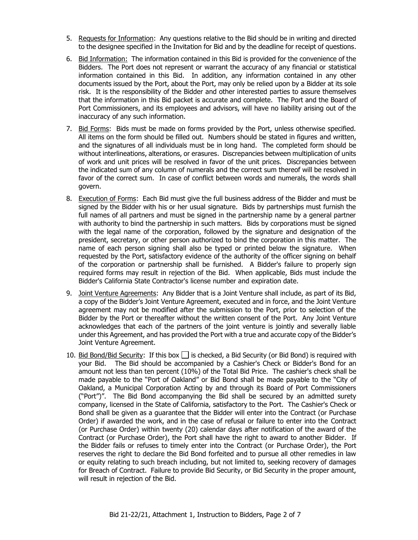- 5. Requests for Information: Any questions relative to the Bid should be in writing and directed to the designee specified in the Invitation for Bid and by the deadline for receipt of questions.
- 6. Bid Information: The information contained in this Bid is provided for the convenience of the Bidders. The Port does not represent or warrant the accuracy of any financial or statistical information contained in this Bid. In addition, any information contained in any other documents issued by the Port, about the Port, may only be relied upon by a Bidder at its sole risk. It is the responsibility of the Bidder and other interested parties to assure themselves that the information in this Bid packet is accurate and complete. The Port and the Board of Port Commissioners, and its employees and advisors, will have no liability arising out of the inaccuracy of any such information.
- 7. Bid Forms: Bids must be made on forms provided by the Port, unless otherwise specified. All items on the form should be filled out. Numbers should be stated in figures and written, and the signatures of all individuals must be in long hand. The completed form should be without interlineations, alterations, or erasures. Discrepancies between multiplication of units of work and unit prices will be resolved in favor of the unit prices. Discrepancies between the indicated sum of any column of numerals and the correct sum thereof will be resolved in favor of the correct sum. In case of conflict between words and numerals, the words shall govern.
- 8. Execution of Forms: Each Bid must give the full business address of the Bidder and must be signed by the Bidder with his or her usual signature. Bids by partnerships must furnish the full names of all partners and must be signed in the partnership name by a general partner with authority to bind the partnership in such matters. Bids by corporations must be signed with the legal name of the corporation, followed by the signature and designation of the president, secretary, or other person authorized to bind the corporation in this matter. The name of each person signing shall also be typed or printed below the signature. When requested by the Port, satisfactory evidence of the authority of the officer signing on behalf of the corporation or partnership shall be furnished. A Bidder's failure to properly sign required forms may result in rejection of the Bid. When applicable, Bids must include the Bidder's California State Contractor's license number and expiration date.
- 9. Joint Venture Agreements: Any Bidder that is a Joint Venture shall include, as part of its Bid, a copy of the Bidder's Joint Venture Agreement, executed and in force, and the Joint Venture agreement may not be modified after the submission to the Port, prior to selection of the Bidder by the Port or thereafter without the written consent of the Port. Any Joint Venture acknowledges that each of the partners of the joint venture is jointly and severally liable under this Agreement, and has provided the Port with a true and accurate copy of the Bidder's Joint Venture Agreement.
- 10. Bid Bond/Bid Security: If this box  $\Box$  is checked, a Bid Security (or Bid Bond) is required with your Bid. The Bid should be accompanied by a Cashier's Check or Bidder's Bond for an amount not less than ten percent (10%) of the Total Bid Price. The cashier's check shall be made payable to the "Port of Oakland" or Bid Bond shall be made payable to the "City of Oakland, a Municipal Corporation Acting by and through its Board of Port Commissioners ("Port")". The Bid Bond accompanying the Bid shall be secured by an admitted surety company, licensed in the State of California, satisfactory to the Port. The Cashier's Check or Bond shall be given as a guarantee that the Bidder will enter into the Contract (or Purchase Order) if awarded the work, and in the case of refusal or failure to enter into the Contract (or Purchase Order) within twenty (20) calendar days after notification of the award of the Contract (or Purchase Order), the Port shall have the right to award to another Bidder. If the Bidder fails or refuses to timely enter into the Contract (or Purchase Order), the Port reserves the right to declare the Bid Bond forfeited and to pursue all other remedies in law or equity relating to such breach including, but not limited to, seeking recovery of damages for Breach of Contract. Failure to provide Bid Security, or Bid Security in the proper amount, will result in rejection of the Bid.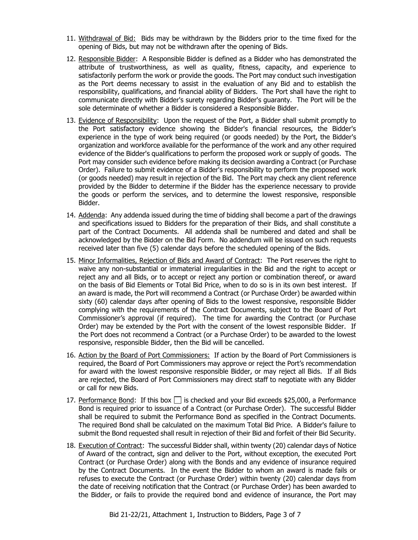- 11. Withdrawal of Bid: Bids may be withdrawn by the Bidders prior to the time fixed for the opening of Bids, but may not be withdrawn after the opening of Bids.
- 12. Responsible Bidder: A Responsible Bidder is defined as a Bidder who has demonstrated the attribute of trustworthiness, as well as quality, fitness, capacity, and experience to satisfactorily perform the work or provide the goods. The Port may conduct such investigation as the Port deems necessary to assist in the evaluation of any Bid and to establish the responsibility, qualifications, and financial ability of Bidders. The Port shall have the right to communicate directly with Bidder's surety regarding Bidder's guaranty. The Port will be the sole determinate of whether a Bidder is considered a Responsible Bidder.
- 13. Evidence of Responsibility: Upon the request of the Port, a Bidder shall submit promptly to the Port satisfactory evidence showing the Bidder's financial resources, the Bidder's experience in the type of work being required (or goods needed) by the Port, the Bidder's organization and workforce available for the performance of the work and any other required evidence of the Bidder's qualifications to perform the proposed work or supply of goods. The Port may consider such evidence before making its decision awarding a Contract (or Purchase Order). Failure to submit evidence of a Bidder's responsibility to perform the proposed work (or goods needed) may result in rejection of the Bid. The Port may check any client reference provided by the Bidder to determine if the Bidder has the experience necessary to provide the goods or perform the services, and to determine the lowest responsive, responsible Bidder.
- 14. Addenda: Any addenda issued during the time of bidding shall become a part of the drawings and specifications issued to Bidders for the preparation of their Bids, and shall constitute a part of the Contract Documents. All addenda shall be numbered and dated and shall be acknowledged by the Bidder on the Bid Form. No addendum will be issued on such requests received later than five (5) calendar days before the scheduled opening of the Bids.
- 15. Minor Informalities, Rejection of Bids and Award of Contract: The Port reserves the right to waive any non-substantial or immaterial irregularities in the Bid and the right to accept or reject any and all Bids, or to accept or reject any portion or combination thereof, or award on the basis of Bid Elements or Total Bid Price, when to do so is in its own best interest. If an award is made, the Port will recommend a Contract (or Purchase Order) be awarded within sixty (60) calendar days after opening of Bids to the lowest responsive, responsible Bidder complying with the requirements of the Contract Documents, subject to the Board of Port Commissioner's approval (if required). The time for awarding the Contract (or Purchase Order) may be extended by the Port with the consent of the lowest responsible Bidder. If the Port does not recommend a Contract (or a Purchase Order) to be awarded to the lowest responsive, responsible Bidder, then the Bid will be cancelled.
- 16. Action by the Board of Port Commissioners: If action by the Board of Port Commissioners is required, the Board of Port Commissioners may approve or reject the Port's recommendation for award with the lowest responsive responsible Bidder, or may reject all Bids. If all Bids are rejected, the Board of Port Commissioners may direct staff to negotiate with any Bidder or call for new Bids.
- 17. Performance Bond: If this box  $\Box$  is checked and your Bid exceeds \$25,000, a Performance Bond is required prior to issuance of a Contract (or Purchase Order). The successful Bidder shall be required to submit the Performance Bond as specified in the Contract Documents. The required Bond shall be calculated on the maximum Total Bid Price. A Bidder's failure to submit the Bond requested shall result in rejection of their Bid and forfeit of their Bid Security.
- 18. Execution of Contract: The successful Bidder shall, within twenty (20) calendar days of Notice of Award of the contract, sign and deliver to the Port, without exception, the executed Port Contract (or Purchase Order) along with the Bonds and any evidence of insurance required by the Contract Documents. In the event the Bidder to whom an award is made fails or refuses to execute the Contract (or Purchase Order) within twenty (20) calendar days from the date of receiving notification that the Contract (or Purchase Order) has been awarded to the Bidder, or fails to provide the required bond and evidence of insurance, the Port may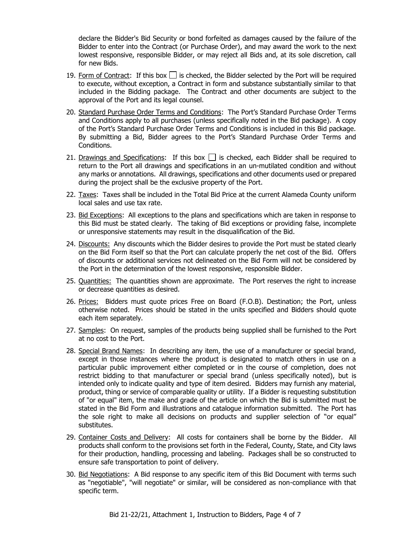declare the Bidder's Bid Security or bond forfeited as damages caused by the failure of the Bidder to enter into the Contract (or Purchase Order), and may award the work to the next lowest responsive, responsible Bidder, or may reject all Bids and, at its sole discretion, call for new Bids.

- 19. Form of Contract: If this box  $\Box$  is checked, the Bidder selected by the Port will be required to execute, without exception, a Contract in form and substance substantially similar to that included in the Bidding package. The Contract and other documents are subject to the approval of the Port and its legal counsel.
- 20. Standard Purchase Order Terms and Conditions: The Port's Standard Purchase Order Terms and Conditions apply to all purchases (unless specifically noted in the Bid package). A copy of the Port's Standard Purchase Order Terms and Conditions is included in this Bid package. By submitting a Bid, Bidder agrees to the Port's Standard Purchase Order Terms and Conditions.
- 21. Drawings and Specifications: If this box  $\Box$  is checked, each Bidder shall be required to return to the Port all drawings and specifications in an un-mutilated condition and without any marks or annotations. All drawings, specifications and other documents used or prepared during the project shall be the exclusive property of the Port.
- 22. Taxes: Taxes shall be included in the Total Bid Price at the current Alameda County uniform local sales and use tax rate.
- 23. Bid Exceptions: All exceptions to the plans and specifications which are taken in response to this Bid must be stated clearly. The taking of Bid exceptions or providing false, incomplete or unresponsive statements may result in the disqualification of the Bid.
- 24. Discounts: Any discounts which the Bidder desires to provide the Port must be stated clearly on the Bid Form itself so that the Port can calculate properly the net cost of the Bid. Offers of discounts or additional services not delineated on the Bid Form will not be considered by the Port in the determination of the lowest responsive, responsible Bidder.
- 25. Quantities: The quantities shown are approximate. The Port reserves the right to increase or decrease quantities as desired.
- 26. Prices: Bidders must quote prices Free on Board (F.O.B). Destination; the Port, unless otherwise noted. Prices should be stated in the units specified and Bidders should quote each item separately.
- 27. Samples: On request, samples of the products being supplied shall be furnished to the Port at no cost to the Port.
- 28. Special Brand Names: In describing any item, the use of a manufacturer or special brand, except in those instances where the product is designated to match others in use on a particular public improvement either completed or in the course of completion, does not restrict bidding to that manufacturer or special brand (unless specifically noted), but is intended only to indicate quality and type of item desired. Bidders may furnish any material, product, thing or service of comparable quality or utility. If a Bidder is requesting substitution of "or equal" item, the make and grade of the article on which the Bid is submitted must be stated in the Bid Form and illustrations and catalogue information submitted. The Port has the sole right to make all decisions on products and supplier selection of "or equal" substitutes.
- 29. Container Costs and Delivery: All costs for containers shall be borne by the Bidder. All products shall conform to the provisions set forth in the Federal, County, State, and City laws for their production, handling, processing and labeling. Packages shall be so constructed to ensure safe transportation to point of delivery.
- 30. Bid Negotiations: A Bid response to any specific item of this Bid Document with terms such as "negotiable", "will negotiate" or similar, will be considered as non-compliance with that specific term.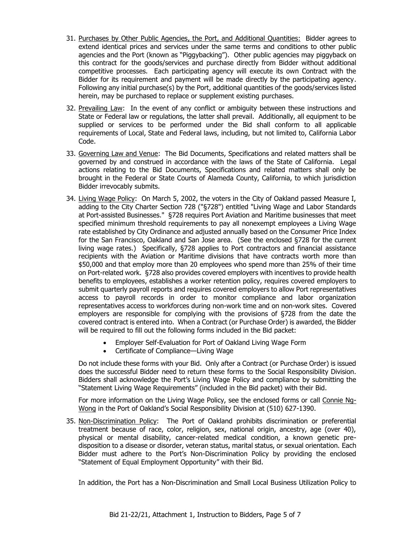- 31. Purchases by Other Public Agencies, the Port, and Additional Quantities: Bidder agrees to extend identical prices and services under the same terms and conditions to other public agencies and the Port (known as "Piggybacking"). Other public agencies may piggyback on this contract for the goods/services and purchase directly from Bidder without additional competitive processes. Each participating agency will execute its own Contract with the Bidder for its requirement and payment will be made directly by the participating agency. Following any initial purchase(s) by the Port, additional quantities of the goods/services listed herein, may be purchased to replace or supplement existing purchases.
- 32. Prevailing Law: In the event of any conflict or ambiguity between these instructions and State or Federal law or regulations, the latter shall prevail. Additionally, all equipment to be supplied or services to be performed under the Bid shall conform to all applicable requirements of Local, State and Federal laws, including, but not limited to, California Labor Code.
- 33. Governing Law and Venue: The Bid Documents, Specifications and related matters shall be governed by and construed in accordance with the laws of the State of California. Legal actions relating to the Bid Documents, Specifications and related matters shall only be brought in the Federal or State Courts of Alameda County, California, to which jurisdiction Bidder irrevocably submits.
- 34. Living Wage Policy: On March 5, 2002, the voters in the City of Oakland passed Measure I, adding to the City Charter Section 728 ("§728") entitled "Living Wage and Labor Standards at Port-assisted Businesses." §728 requires Port Aviation and Maritime businesses that meet specified minimum threshold requirements to pay all nonexempt employees a Living Wage rate established by City Ordinance and adjusted annually based on the Consumer Price Index for the San Francisco, Oakland and San Jose area. (See the enclosed §728 for the current living wage rates.) Specifically, §728 applies to Port contractors and financial assistance recipients with the Aviation or Maritime divisions that have contracts worth more than \$50,000 and that employ more than 20 employees who spend more than 25% of their time on Port-related work. §728 also provides covered employers with incentives to provide health benefits to employees, establishes a worker retention policy, requires covered employers to submit quarterly payroll reports and requires covered employers to allow Port representatives access to payroll records in order to monitor compliance and labor organization representatives access to workforces during non-work time and on non-work sites. Covered employers are responsible for complying with the provisions of §728 from the date the covered contract is entered into. When a Contract (or Purchase Order) is awarded, the Bidder will be required to fill out the following forms included in the Bid packet:
	- Employer Self-Evaluation for Port of Oakland Living Wage Form
	- Certificate of Compliance—Living Wage

Do not include these forms with your Bid. Only after a Contract (or Purchase Order) is issued does the successful Bidder need to return these forms to the Social Responsibility Division. Bidders shall acknowledge the Port's Living Wage Policy and compliance by submitting the "Statement Living Wage Requirements" (included in the Bid packet) with their Bid.

For more information on the Living Wage Policy, see the enclosed forms or call Connie Ng-Wong in the Port of Oakland's Social Responsibility Division at (510) 627-1390.

35. Non-Discrimination Policy: The Port of Oakland prohibits discrimination or preferential treatment because of race, color, religion, sex, national origin, ancestry, age (over 40), physical or mental disability, cancer-related medical condition, a known genetic predisposition to a disease or disorder, veteran status, marital status, or sexual orientation. Each Bidder must adhere to the Port's Non-Discrimination Policy by providing the enclosed "Statement of Equal Employment Opportunity" with their Bid.

In addition, the Port has a Non-Discrimination and Small Local Business Utilization Policy to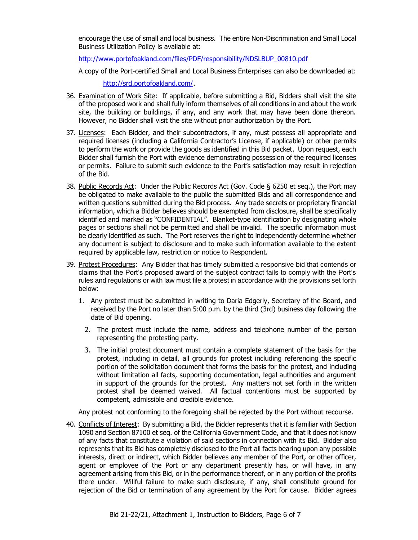encourage the use of small and local business. The entire Non-Discrimination and Small Local Business Utilization Policy is available at:

[http://www.portofoakland.com/files/PDF/responsibility/NDSLBUP\\_00810.pdf](http://www.portofoakland.com/files/PDF/responsibility/NDSLBUP_00810.pdf)

A copy of the Port-certified Small and Local Business Enterprises can also be downloaded at:

[http://srd.portofoakland.com/.](http://srd.portofoakland.com/)

- 36. Examination of Work Site: If applicable, before submitting a Bid, Bidders shall visit the site of the proposed work and shall fully inform themselves of all conditions in and about the work site, the building or buildings, if any, and any work that may have been done thereon. However, no Bidder shall visit the site without prior authorization by the Port.
- 37. Licenses: Each Bidder, and their subcontractors, if any, must possess all appropriate and required licenses (including a California Contractor's License, if applicable) or other permits to perform the work or provide the goods as identified in this Bid packet. Upon request, each Bidder shall furnish the Port with evidence demonstrating possession of the required licenses or permits. Failure to submit such evidence to the Port's satisfaction may result in rejection of the Bid.
- 38. Public Records Act: Under the Public Records Act (Gov. Code § 6250 et seq.), the Port may be obligated to make available to the public the submitted Bids and all correspondence and written questions submitted during the Bid process. Any trade secrets or proprietary financial information, which a Bidder believes should be exempted from disclosure, shall be specifically identified and marked as "CONFIDENTIAL". Blanket-type identification by designating whole pages or sections shall not be permitted and shall be invalid. The specific information must be clearly identified as such. The Port reserves the right to independently determine whether any document is subject to disclosure and to make such information available to the extent required by applicable law, restriction or notice to Respondent.
- 39. Protest Procedures:Any Bidder that has timely submitted a responsive bid that contends or claims that the Port's proposed award of the subject contract fails to comply with the Port's rules and regulations or with law must file a protest in accordance with the provisions set forth below:
	- 1. Any protest must be submitted in writing to Daria Edgerly, Secretary of the Board, and received by the Port no later than 5:00 p.m. by the third (3rd) business day following the date of Bid opening.
		- 2. The protest must include the name, address and telephone number of the person representing the protesting party.
		- 3. The initial protest document must contain a complete statement of the basis for the protest, including in detail, all grounds for protest including referencing the specific portion of the solicitation document that forms the basis for the protest, and including without limitation all facts, supporting documentation, legal authorities and argument in support of the grounds for the protest. Any matters not set forth in the written protest shall be deemed waived. All factual contentions must be supported by competent, admissible and credible evidence.

Any protest not conforming to the foregoing shall be rejected by the Port without recourse.

40. Conflicts of Interest: By submitting a Bid, the Bidder represents that it is familiar with Section 1090 and Section 87100 et seq. of the California Government Code, and that it does not know of any facts that constitute a violation of said sections in connection with its Bid. Bidder also represents that its Bid has completely disclosed to the Port all facts bearing upon any possible interests, direct or indirect, which Bidder believes any member of the Port, or other officer, agent or employee of the Port or any department presently has, or will have, in any agreement arising from this Bid, or in the performance thereof, or in any portion of the profits there under. Willful failure to make such disclosure, if any, shall constitute ground for rejection of the Bid or termination of any agreement by the Port for cause. Bidder agrees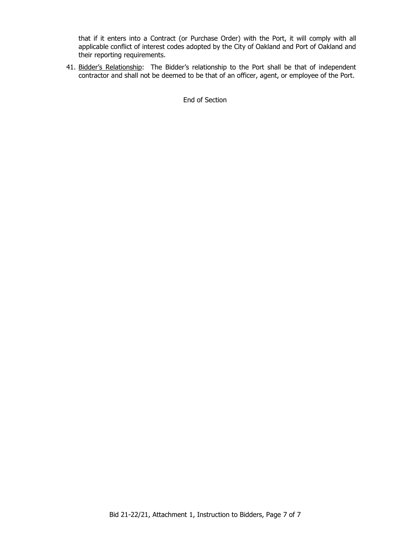that if it enters into a Contract (or Purchase Order) with the Port, it will comply with all applicable conflict of interest codes adopted by the City of Oakland and Port of Oakland and their reporting requirements.

41. Bidder's Relationship: The Bidder's relationship to the Port shall be that of independent contractor and shall not be deemed to be that of an officer, agent, or employee of the Port.

End of Section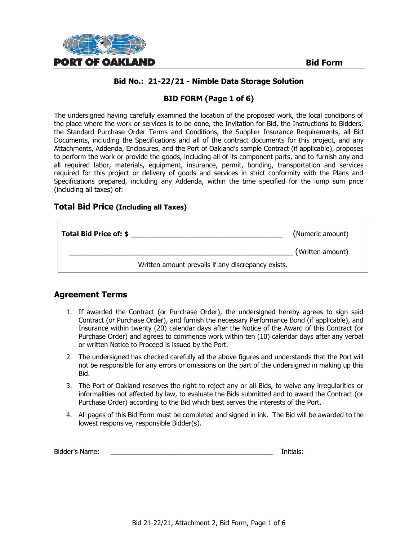

# **BID FORM (Page 1 of 6)**

The undersigned having carefully examined the location of the proposed work, the local conditions of the place where the work or services is to be done, the Invitation for Bid, the Instructions to Bidders, the Standard Purchase Order Terms and Conditions, the Supplier Insurance Requirements, all Bid Documents, including the Specifications and all of the contract documents for this project, and any Attachments, Addenda, Enclosures, and the Port of Oakland's sample Contract (if applicable), proposes to perform the work or provide the goods, including all of its component parts, and to furnish any and all required labor, materials, equipment, insurance, permit, bonding, transportation and services required for this project or delivery of goods and services in strict conformity with the Plans and Specifications prepared, including any Addenda, within the time specified for the lump sum price (including all taxes) of:

# **Total Bid Price (Including all Taxes)**

| Total Bid Price of: \$ |                                                    | (Numeric amount) |
|------------------------|----------------------------------------------------|------------------|
|                        |                                                    | (Written amount) |
|                        | Written amount prevails if any discrepancy exists. |                  |

# **Agreement Terms**

- 1. If awarded the Contract (or Purchase Order), the undersigned hereby agrees to sign said Contract (or Purchase Order), and furnish the necessary Performance Bond (if applicable), and Insurance within twenty (20) calendar days after the Notice of the Award of this Contract (or Purchase Order) and agrees to commence work within ten (10) calendar days after any verbal or written Notice to Proceed is issued by the Port.
- 2. The undersigned has checked carefully all the above figures and understands that the Port will not be responsible for any errors or omissions on the part of the undersigned in making up this Bid.
- 3. The Port of Oakland reserves the right to reject any or all Bids, to waive any irregularities or informalities not affected by law, to evaluate the Bids submitted and to award the Contract (or Purchase Order) according to the Bid which best serves the interests of the Port.
- 4. All pages of this Bid Form must be completed and signed in ink. The Bid will be awarded to the lowest responsive, responsible Bidder(s).

| Bidder's Name: |  | Initials: |
|----------------|--|-----------|
|----------------|--|-----------|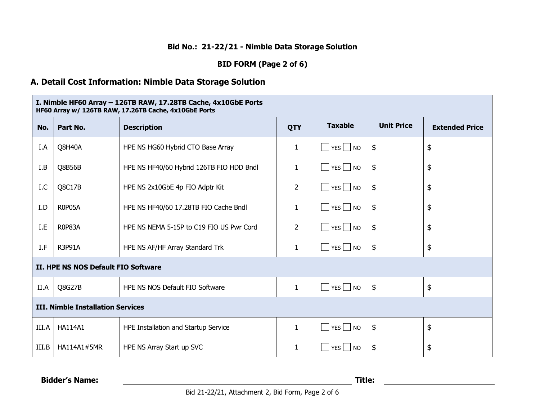# **BID FORM (Page 2 of 6)**

# **A. Detail Cost Information: Nimble Data Storage Solution**

| I. Nimble HF60 Array - 126TB RAW, 17.28TB Cache, 4x10GbE Ports<br>HF60 Array w/ 126TB RAW, 17.26TB Cache, 4x10GbE Ports |                |                                          |                |                                      |                   |                       |
|-------------------------------------------------------------------------------------------------------------------------|----------------|------------------------------------------|----------------|--------------------------------------|-------------------|-----------------------|
| No.                                                                                                                     | Part No.       | <b>Description</b>                       | <b>QTY</b>     | <b>Taxable</b>                       | <b>Unit Price</b> | <b>Extended Price</b> |
| I.A                                                                                                                     | Q8H40A         | HPE NS HG60 Hybrid CTO Base Array        | $\mathbf{1}$   | $YES$ NO<br>$\sim$                   | \$                | \$                    |
| I.B                                                                                                                     | Q8B56B         | HPE NS HF40/60 Hybrid 126TB FIO HDD Bndl | 1              | $\Box$ YES $\Box$ NO                 | $\frac{1}{2}$     | \$                    |
| I.C                                                                                                                     | Q8C17B         | HPE NS 2x10GbE 4p FIO Adptr Kit          | $\overline{2}$ | $YES$ NO                             | \$                | \$                    |
| I.D                                                                                                                     | <b>R0P05A</b>  | HPE NS HF40/60 17.28TB FIO Cache Bndl    | 1              | $YES$ NO                             | \$                | \$                    |
| I.E                                                                                                                     | R0P83A         | HPE NS NEMA 5-15P to C19 FIO US Pwr Cord | 2              | $\Box$ YES $\Box$ NO                 | $\frac{1}{2}$     | \$                    |
| I.F                                                                                                                     | <b>R3P91A</b>  | HPE NS AF/HF Array Standard Trk          | 1              | $YES$ NO                             | \$                | \$                    |
| II. HPE NS NOS Default FIO Software                                                                                     |                |                                          |                |                                      |                   |                       |
| II.A                                                                                                                    | Q8G27B         | HPE NS NOS Default FIO Software          | $\mathbf{1}$   | $\blacksquare$ YES $\blacksquare$ NO | $\frac{1}{2}$     | \$                    |
| <b>III. Nimble Installation Services</b>                                                                                |                |                                          |                |                                      |                   |                       |
| III.A                                                                                                                   | <b>HA114A1</b> | HPE Installation and Startup Service     | $\mathbf{1}$   | $YES$ NO<br>l.                       | \$                | \$                    |
| III.B                                                                                                                   | HA114A1#5MR    | HPE NS Array Start up SVC                | 1              | $\vert$ YES $\vert$ NO<br>$\sim$     | $\frac{1}{2}$     | \$                    |

**Bidder's Name: Title:**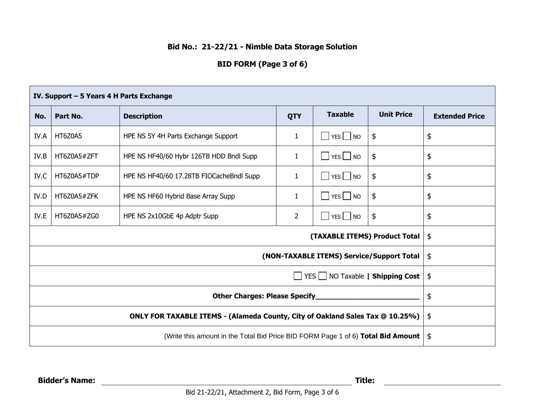# **BID FORM (Page 3 of 6)**

| IV. Support - 5 Years 4 H Parts Exchange                                         |             |                                          |                |                      |                   |                       |
|----------------------------------------------------------------------------------|-------------|------------------------------------------|----------------|----------------------|-------------------|-----------------------|
| No.                                                                              | Part No.    | <b>Description</b>                       | <b>QTY</b>     | <b>Taxable</b>       | <b>Unit Price</b> | <b>Extended Price</b> |
| IV.A                                                                             | HT6Z0A5     | HPE NS 5Y 4H Parts Exchange Support      | 1              | $\Box$ YES $\Box$ NO | \$                | \$                    |
| IV.B                                                                             | HT6Z0A5#ZFT | HPE NS HF40/60 Hybr 126TB HDD Bndl Supp  | 1              | $\Box$ Yes $\Box$ No | \$                | \$                    |
| IV.C                                                                             | HT6Z0A5#TDP | HPE NS HF40/60 17.28TB FIOCacheBndl Supp | 1              | $YES$ NO             | \$                | \$                    |
| IV.D                                                                             | HT6Z0A5#ZFK | HPE NS HF60 Hybrid Base Array Supp       | 1              | $YES$ NO             | \$                | \$                    |
| IV.E                                                                             | HT6Z0A5#ZG0 | HPE NS 2x10GbE 4p Adptr Supp             | $\overline{2}$ | $\Box$ YES $\Box$ NO | \$                | \$                    |
| (TAXABLE ITEMS) Product Total                                                    |             |                                          |                | $\frac{1}{2}$        |                   |                       |
| (NON-TAXABLE ITEMS) Service/Support Total                                        |             |                                          |                | $\frac{1}{2}$        |                   |                       |
| YES NO Taxable   Shipping Cost                                                   |             |                                          |                | $\frac{1}{2}$        |                   |                       |
| <b>Other Charges: Please Specify</b>                                             |             |                                          |                | \$                   |                   |                       |
| ONLY FOR TAXABLE ITEMS - (Alameda County, City of Oakland Sales Tax @ 10.25%)    |             |                                          | $\frac{1}{2}$  |                      |                   |                       |
| (Write this amount in the Total Bid Price BID FORM Page 1 of 6) Total Bid Amount |             |                                          | $\frac{1}{2}$  |                      |                   |                       |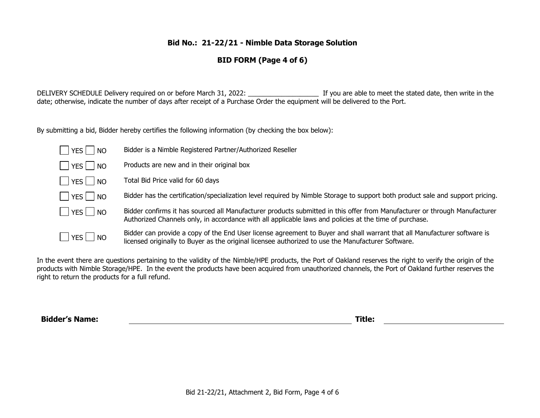# **BID FORM (Page 4 of 6)**

DELIVERY SCHEDULE Delivery required on or before March 31, 2022: \_\_\_\_\_\_\_\_\_\_\_\_\_\_\_\_\_\_\_ If you are able to meet the stated date, then write in the date; otherwise, indicate the number of days after receipt of a Purchase Order the equipment will be delivered to the Port.

By submitting a bid, Bidder hereby certifies the following information (by checking the box below):

| YES   NO             | Bidder is a Nimble Registered Partner/Authorized Reseller                                                                                                                                                                            |
|----------------------|--------------------------------------------------------------------------------------------------------------------------------------------------------------------------------------------------------------------------------------|
| YES NO               | Products are new and in their original box                                                                                                                                                                                           |
| $\Box$ YES $\Box$ NO | Total Bid Price valid for 60 days                                                                                                                                                                                                    |
| YES   NO             | Bidder has the certification/specialization level required by Nimble Storage to support both product sale and support pricing.                                                                                                       |
| YES NO               | Bidder confirms it has sourced all Manufacturer products submitted in this offer from Manufacturer or through Manufacturer<br>Authorized Channels only, in accordance with all applicable laws and policies at the time of purchase. |
| YES NO               | Bidder can provide a copy of the End User license agreement to Buyer and shall warrant that all Manufacturer software is<br>licensed originally to Buyer as the original licensee authorized to use the Manufacturer Software.       |

In the event there are questions pertaining to the validity of the Nimble/HPE products, the Port of Oakland reserves the right to verify the origin of the products with Nimble Storage/HPE. In the event the products have been acquired from unauthorized channels, the Port of Oakland further reserves the right to return the products for a full refund.

**Bidder's Name: Title:**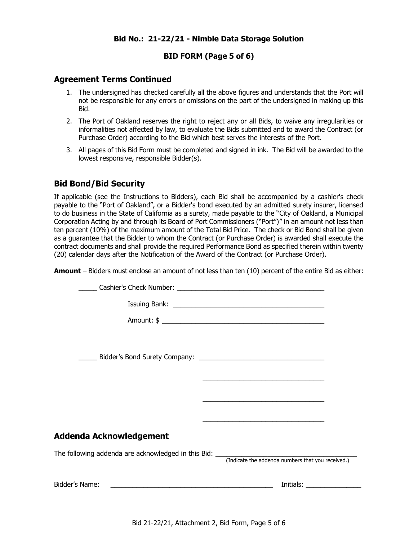# **BID FORM (Page 5 of 6)**

#### **Agreement Terms Continued**

- 1. The undersigned has checked carefully all the above figures and understands that the Port will not be responsible for any errors or omissions on the part of the undersigned in making up this Bid.
- 2. The Port of Oakland reserves the right to reject any or all Bids, to waive any irregularities or informalities not affected by law, to evaluate the Bids submitted and to award the Contract (or Purchase Order) according to the Bid which best serves the interests of the Port.
- 3. All pages of this Bid Form must be completed and signed in ink. The Bid will be awarded to the lowest responsive, responsible Bidder(s).

# **Bid Bond/Bid Security**

If applicable (see the Instructions to Bidders), each Bid shall be accompanied by a cashier's check payable to the "Port of Oakland", or a Bidder's bond executed by an admitted surety insurer, licensed to do business in the State of California as a surety, made payable to the "City of Oakland, a Municipal Corporation Acting by and through its Board of Port Commissioners ("Port")" in an amount not less than ten percent (10%) of the maximum amount of the Total Bid Price. The check or Bid Bond shall be given as a guarantee that the Bidder to whom the Contract (or Purchase Order) is awarded shall execute the contract documents and shall provide the required Performance Bond as specified therein within twenty (20) calendar days after the Notification of the Award of the Contract (or Purchase Order).

**Amount** – Bidders must enclose an amount of not less than ten (10) percent of the entire Bid as either:

|                                                                                                               | <u> 1989 - Johann Stoff, amerikansk politiker (d. 1989)</u>                                                          |
|---------------------------------------------------------------------------------------------------------------|----------------------------------------------------------------------------------------------------------------------|
|                                                                                                               |                                                                                                                      |
|                                                                                                               | <u> 2000 - Jan James James James James James James James James James James James James James James James James J</u> |
| Addenda Acknowledgement                                                                                       |                                                                                                                      |
|                                                                                                               |                                                                                                                      |
| Bidder's Name: 2008. 2008. 2010. 2010. 2010. 2010. 2011. 2012. 2013. 2014. 2016. 2016. 2017. 2018. 2019. 2019 |                                                                                                                      |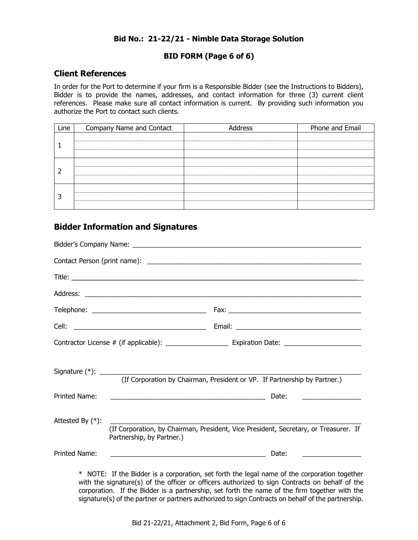# **BID FORM (Page 6 of 6)**

# **Client References**

In order for the Port to determine if your firm is a Responsible Bidder (see the Instructions to Bidders), Bidder is to provide the names, addresses, and contact information for three (3) current client references. Please make sure all contact information is current. By providing such information you authorize the Port to contact such clients.

| Line | Company Name and Contact | Address | Phone and Email |
|------|--------------------------|---------|-----------------|
|      |                          |         |                 |
|      |                          |         |                 |
|      |                          |         |                 |
|      |                          |         |                 |
|      |                          |         |                 |
|      |                          |         |                 |
|      |                          |         |                 |
|      |                          |         |                 |

# **Bidder Information and Signatures**

|                                      |                                                                                                                       | (If Corporation by Chairman, President or VP. If Partnership by Partner.)            |
|--------------------------------------|-----------------------------------------------------------------------------------------------------------------------|--------------------------------------------------------------------------------------|
|                                      |                                                                                                                       |                                                                                      |
|                                      | <u> 1989 - Johann Barn, mars and de Branch Barn, mars and de Branch Barn, mars and de Branch Barn, mars and de Br</u> | Date:<br><u> 1989 - John Stein, Amerikaansk politiker (</u>                          |
| Printed Name:<br>Attested By $(*)$ : | Partnership, by Partner.)                                                                                             | (If Corporation, by Chairman, President, Vice President, Secretary, or Treasurer. If |

with the signature(s) of the officer or officers authorized to sign Contracts on behalf of the corporation. If the Bidder is a partnership, set forth the name of the firm together with the signature(s) of the partner or partners authorized to sign Contracts on behalf of the partnership.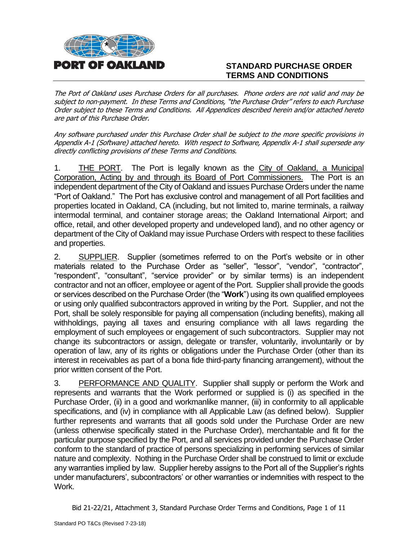

# **STANDARD PURCHASE ORDER TERMS AND CONDITIONS**

The Port of Oakland uses Purchase Orders for all purchases. Phone orders are not valid and may be subject to non-payment. In these Terms and Conditions, "the Purchase Order" refers to each Purchase Order subject to these Terms and Conditions. All Appendices described herein and/or attached hereto are part of this Purchase Order.

Any software purchased under this Purchase Order shall be subject to the more specific provisions in Appendix A-1 (Software) attached hereto. With respect to Software, Appendix A-1 shall supersede any directly conflicting provisions of these Terms and Conditions.

1. THE PORT. The Port is legally known as the City of Oakland, a Municipal Corporation, Acting by and through its Board of Port Commissioners. The Port is an independent department of the City of Oakland and issues Purchase Orders under the name "Port of Oakland." The Port has exclusive control and management of all Port facilities and properties located in Oakland, CA (including, but not limited to, marine terminals, a railway intermodal terminal, and container storage areas; the Oakland International Airport; and office, retail, and other developed property and undeveloped land), and no other agency or department of the City of Oakland may issue Purchase Orders with respect to these facilities and properties.

2. SUPPLIER. Supplier (sometimes referred to on the Port's website or in other materials related to the Purchase Order as "seller", "lessor", "vendor", "contractor", "respondent", "consultant", "service provider" or by similar terms) is an independent contractor and not an officer, employee or agent of the Port. Supplier shall provide the goods or services described on the Purchase Order (the "**Work**") using its own qualified employees or using only qualified subcontractors approved in writing by the Port. Supplier, and not the Port, shall be solely responsible for paying all compensation (including benefits), making all withholdings, paying all taxes and ensuring compliance with all laws regarding the employment of such employees or engagement of such subcontractors. Supplier may not change its subcontractors or assign, delegate or transfer, voluntarily, involuntarily or by operation of law, any of its rights or obligations under the Purchase Order (other than its interest in receivables as part of a bona fide third-party financing arrangement), without the prior written consent of the Port.

3. PERFORMANCE AND QUALITY. Supplier shall supply or perform the Work and represents and warrants that the Work performed or supplied is (i) as specified in the Purchase Order, (ii) in a good and workmanlike manner, (iii) in conformity to all applicable specifications, and (iv) in compliance with all Applicable Law (as defined below). Supplier further represents and warrants that all goods sold under the Purchase Order are new (unless otherwise specifically stated in the Purchase Order), merchantable and fit for the particular purpose specified by the Port, and all services provided under the Purchase Order conform to the standard of practice of persons specializing in performing services of similar nature and complexity. Nothing in the Purchase Order shall be construed to limit or exclude any warranties implied by law. Supplier hereby assigns to the Port all of the Supplier's rights under manufacturers', subcontractors' or other warranties or indemnities with respect to the Work.

Bid 21-22/21, Attachment 3, Standard Purchase Order Terms and Conditions, Page 1 of 11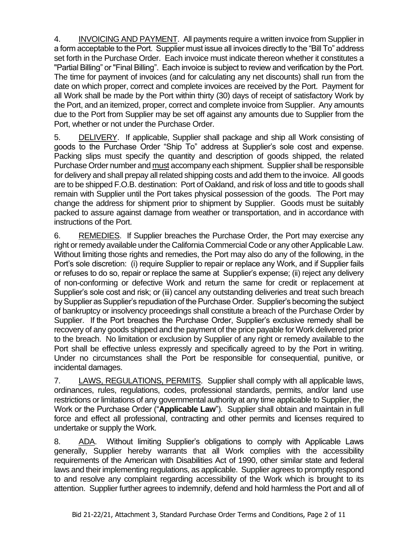4. INVOICING AND PAYMENT. All payments require a written invoice from Supplier in a form acceptable to the Port. Supplier must issue all invoices directly to the "Bill To" address set forth in the Purchase Order. Each invoice must indicate thereon whether it constitutes a "Partial Billing" or "Final Billing". Each invoice is subject to review and verification by the Port. The time for payment of invoices (and for calculating any net discounts) shall run from the date on which proper, correct and complete invoices are received by the Port. Payment for all Work shall be made by the Port within thirty (30) days of receipt of satisfactory Work by the Port, and an itemized, proper, correct and complete invoice from Supplier. Any amounts due to the Port from Supplier may be set off against any amounts due to Supplier from the Port, whether or not under the Purchase Order.

5. DELIVERY. If applicable, Supplier shall package and ship all Work consisting of goods to the Purchase Order "Ship To" address at Supplier's sole cost and expense. Packing slips must specify the quantity and description of goods shipped, the related Purchase Order number and must accompany each shipment. Supplier shall be responsible for delivery and shall prepay all related shipping costs and add them to the invoice. All goods are to be shipped F.O.B. destination: Port of Oakland, and risk of loss and title to goods shall remain with Supplier until the Port takes physical possession of the goods. The Port may change the address for shipment prior to shipment by Supplier. Goods must be suitably packed to assure against damage from weather or transportation, and in accordance with instructions of the Port.

6. REMEDIES. If Supplier breaches the Purchase Order, the Port may exercise any right or remedy available under the California Commercial Code or any other Applicable Law. Without limiting those rights and remedies, the Port may also do any of the following, in the Port's sole discretion: (i) require Supplier to repair or replace any Work, and if Supplier fails or refuses to do so, repair or replace the same at Supplier's expense; (ii) reject any delivery of non-conforming or defective Work and return the same for credit or replacement at Supplier's sole cost and risk; or (iii) cancel any outstanding deliveries and treat such breach by Supplier as Supplier's repudiation of the Purchase Order. Supplier's becoming the subject of bankruptcy or insolvency proceedings shall constitute a breach of the Purchase Order by Supplier. If the Port breaches the Purchase Order, Supplier's exclusive remedy shall be recovery of any goods shipped and the payment of the price payable for Work delivered prior to the breach. No limitation or exclusion by Supplier of any right or remedy available to the Port shall be effective unless expressly and specifically agreed to by the Port in writing. Under no circumstances shall the Port be responsible for consequential, punitive, or incidental damages.

7. LAWS, REGULATIONS, PERMITS. Supplier shall comply with all applicable laws, ordinances, rules, regulations, codes, professional standards, permits, and/or land use restrictions or limitations of any governmental authority at any time applicable to Supplier, the Work or the Purchase Order ("**Applicable Law**"). Supplier shall obtain and maintain in full force and effect all professional, contracting and other permits and licenses required to undertake or supply the Work.

8. ADA. Without limiting Supplier's obligations to comply with Applicable Laws generally, Supplier hereby warrants that all Work complies with the accessibility requirements of the American with Disabilities Act of 1990, other similar state and federal laws and their implementing regulations, as applicable. Supplier agrees to promptly respond to and resolve any complaint regarding accessibility of the Work which is brought to its attention. Supplier further agrees to indemnify, defend and hold harmless the Port and all of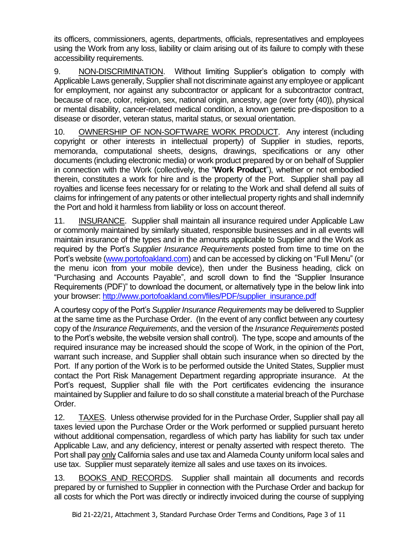its officers, commissioners, agents, departments, officials, representatives and employees using the Work from any loss, liability or claim arising out of its failure to comply with these accessibility requirements.

9. NON-DISCRIMINATION. Without limiting Supplier's obligation to comply with Applicable Laws generally, Supplier shall not discriminate against any employee or applicant for employment, nor against any subcontractor or applicant for a subcontractor contract, because of race, color, religion, sex, national origin, ancestry, age (over forty (40)), physical or mental disability, cancer-related medical condition, a known genetic pre-disposition to a disease or disorder, veteran status, marital status, or sexual orientation.

10. OWNERSHIP OF NON-SOFTWARE WORK PRODUCT. Any interest (including copyright or other interests in intellectual property) of Supplier in studies, reports, memoranda, computational sheets, designs, drawings, specifications or any other documents (including electronic media) or work product prepared by or on behalf of Supplier in connection with the Work (collectively, the "**Work Product**"), whether or not embodied therein, constitutes a work for hire and is the property of the Port. Supplier shall pay all royalties and license fees necessary for or relating to the Work and shall defend all suits of claims for infringement of any patents or other intellectual property rights and shall indemnify the Port and hold it harmless from liability or loss on account thereof.

11. INSURANCE. Supplier shall maintain all insurance required under Applicable Law or commonly maintained by similarly situated, responsible businesses and in all events will maintain insurance of the types and in the amounts applicable to Supplier and the Work as required by the Port's *Supplier Insurance Requirements* posted from time to time on the Port's website [\(www.portofoakland.com\)](http://www.portofoakland.com/) and can be accessed by clicking on "Full Menu" (or the menu icon from your mobile device), then under the Business heading, click on "Purchasing and Accounts Payable", and scroll down to find the "Supplier Insurance Requirements (PDF)" to download the document, or alternatively type in the below link into your browser: [http://www.portofoakland.com/files/PDF/supplier\\_insurance.pdf](http://www.portofoakland.com/files/PDF/supplier_insurance.pdf)

A courtesy copy of the Port's *Supplier Insurance Requirements* may be delivered to Supplier at the same time as the Purchase Order. (In the event of any conflict between any courtesy copy of the *Insurance Requirements*, and the version of the *Insurance Requirements* posted to the Port's website, the website version shall control). The type, scope and amounts of the required insurance may be increased should the scope of Work, in the opinion of the Port, warrant such increase, and Supplier shall obtain such insurance when so directed by the Port. If any portion of the Work is to be performed outside the United States, Supplier must contact the Port Risk Management Department regarding appropriate insurance. At the Port's request, Supplier shall file with the Port certificates evidencing the insurance maintained by Supplier and failure to do so shall constitute a material breach of the Purchase Order.

12. TAXES. Unless otherwise provided for in the Purchase Order, Supplier shall pay all taxes levied upon the Purchase Order or the Work performed or supplied pursuant hereto without additional compensation, regardless of which party has liability for such tax under Applicable Law, and any deficiency, interest or penalty asserted with respect thereto. The Port shall pay only California sales and use tax and Alameda County uniform local sales and use tax. Supplier must separately itemize all sales and use taxes on its invoices.

13. BOOKS AND RECORDS. Supplier shall maintain all documents and records prepared by or furnished to Supplier in connection with the Purchase Order and backup for all costs for which the Port was directly or indirectly invoiced during the course of supplying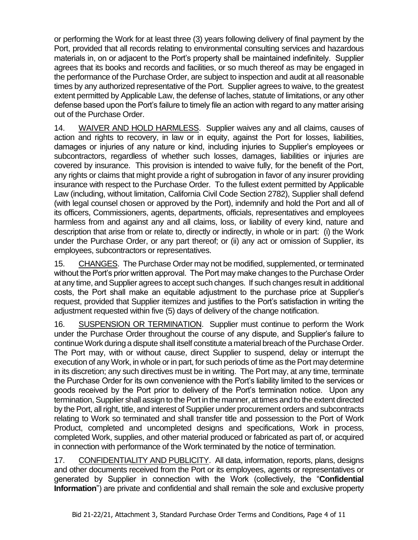or performing the Work for at least three (3) years following delivery of final payment by the Port, provided that all records relating to environmental consulting services and hazardous materials in, on or adjacent to the Port's property shall be maintained indefinitely. Supplier agrees that its books and records and facilities, or so much thereof as may be engaged in the performance of the Purchase Order, are subject to inspection and audit at all reasonable times by any authorized representative of the Port. Supplier agrees to waive, to the greatest extent permitted by Applicable Law, the defense of laches, statute of limitations, or any other defense based upon the Port's failure to timely file an action with regard to any matter arising out of the Purchase Order.

14. WAIVER AND HOLD HARMLESS. Supplier waives any and all claims, causes of action and rights to recovery, in law or in equity, against the Port for losses, liabilities, damages or injuries of any nature or kind, including injuries to Supplier's employees or subcontractors, regardless of whether such losses, damages, liabilities or injuries are covered by insurance. This provision is intended to waive fully, for the benefit of the Port, any rights or claims that might provide a right of subrogation in favor of any insurer providing insurance with respect to the Purchase Order. To the fullest extent permitted by Applicable Law (including, without limitation, California Civil Code Section 2782), Supplier shall defend (with legal counsel chosen or approved by the Port), indemnify and hold the Port and all of its officers, Commissioners, agents, departments, officials, representatives and employees harmless from and against any and all claims, loss, or liability of every kind, nature and description that arise from or relate to, directly or indirectly, in whole or in part: (i) the Work under the Purchase Order, or any part thereof; or (ii) any act or omission of Supplier, its employees, subcontractors or representatives.

15. CHANGES. The Purchase Order may not be modified, supplemented, or terminated without the Port's prior written approval. The Port may make changes to the Purchase Order at any time, and Supplier agrees to accept such changes. If such changes result in additional costs, the Port shall make an equitable adjustment to the purchase price at Supplier's request, provided that Supplier itemizes and justifies to the Port's satisfaction in writing the adjustment requested within five (5) days of delivery of the change notification.

16. SUSPENSION OR TERMINATION. Supplier must continue to perform the Work under the Purchase Order throughout the course of any dispute, and Supplier's failure to continue Work during a dispute shall itself constitute a material breach of the Purchase Order. The Port may, with or without cause, direct Supplier to suspend, delay or interrupt the execution of any Work, in whole or in part, for such periods of time as the Port may determine in its discretion; any such directives must be in writing. The Port may, at any time, terminate the Purchase Order for its own convenience with the Port's liability limited to the services or goods received by the Port prior to delivery of the Port's termination notice. Upon any termination, Supplier shall assign to the Port in the manner, at times and to the extent directed by the Port, all right, title, and interest of Supplier under procurement orders and subcontracts relating to Work so terminated and shall transfer title and possession to the Port of Work Product, completed and uncompleted designs and specifications, Work in process, completed Work, supplies, and other material produced or fabricated as part of, or acquired in connection with performance of the Work terminated by the notice of termination.

17. CONFIDENTIALITY AND PUBLICITY. All data, information, reports, plans, designs and other documents received from the Port or its employees, agents or representatives or generated by Supplier in connection with the Work (collectively, the "**Confidential Information**") are private and confidential and shall remain the sole and exclusive property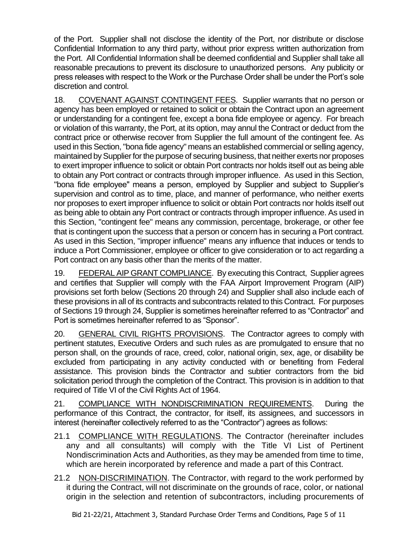of the Port. Supplier shall not disclose the identity of the Port, nor distribute or disclose Confidential Information to any third party, without prior express written authorization from the Port. All Confidential Information shall be deemed confidential and Supplier shall take all reasonable precautions to prevent its disclosure to unauthorized persons. Any publicity or press releases with respect to the Work or the Purchase Order shall be under the Port's sole discretion and control.

18. COVENANT AGAINST CONTINGENT FEES. Supplier warrants that no person or agency has been employed or retained to solicit or obtain the Contract upon an agreement or understanding for a contingent fee, except a bona fide employee or agency. For breach or violation of this warranty, the Port, at its option, may annul the Contract or deduct from the contract price or otherwise recover from Supplier the full amount of the contingent fee. As used in this Section, "bona fide agency" means an established commercial or selling agency, maintained by Supplier for the purpose of securing business, that neither exerts nor proposes to exert improper influence to solicit or obtain Port contracts nor holds itself out as being able to obtain any Port contract or contracts through improper influence. As used in this Section, "bona fide employee" means a person, employed by Supplier and subject to Supplier's supervision and control as to time, place, and manner of performance, who neither exerts nor proposes to exert improper influence to solicit or obtain Port contracts nor holds itself out as being able to obtain any Port contract or contracts through improper influence. As used in this Section, "contingent fee" means any commission, percentage, brokerage, or other fee that is contingent upon the success that a person or concern has in securing a Port contract. As used in this Section, "improper influence" means any influence that induces or tends to induce a Port Commissioner, employee or officer to give consideration or to act regarding a Port contract on any basis other than the merits of the matter.

19. FEDERAL AIP GRANT COMPLIANCE. By executing this Contract, Supplier agrees and certifies that Supplier will comply with the FAA Airport Improvement Program (AIP) provisions set forth below (Sections 20 through 24) and Supplier shall also include each of these provisions in all of its contracts and subcontracts related to this Contract. For purposes of Sections 19 through 24, Supplier is sometimes hereinafter referred to as "Contractor" and Port is sometimes hereinafter referred to as "Sponsor".

20. GENERAL CIVIL RIGHTS PROVISIONS.The Contractor agrees to comply with pertinent statutes, Executive Orders and such rules as are promulgated to ensure that no person shall, on the grounds of race, creed, color, national origin, sex, age, or disability be excluded from participating in any activity conducted with or benefiting from Federal assistance. This provision binds the Contractor and subtier contractors from the bid solicitation period through the completion of the Contract. This provision is in addition to that required of Title VI of the Civil Rights Act of 1964.

21. COMPLIANCE WITH NONDISCRIMINATION REQUIREMENTS. During the performance of this Contract, the contractor, for itself, its assignees, and successors in interest (hereinafter collectively referred to as the "Contractor") agrees as follows:

- 21.1 COMPLIANCE WITH REGULATIONS. The Contractor (hereinafter includes any and all consultants) will comply with the Title VI List of Pertinent Nondiscrimination Acts and Authorities, as they may be amended from time to time, which are herein incorporated by reference and made a part of this Contract.
- 21.2 NON-DISCRIMINATION. The Contractor, with regard to the work performed by it during the Contract, will not discriminate on the grounds of race, color, or national origin in the selection and retention of subcontractors, including procurements of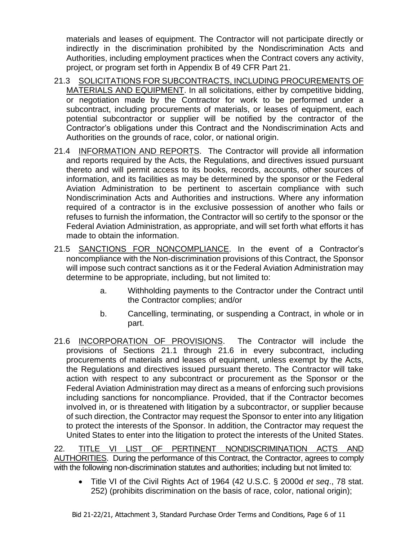materials and leases of equipment. The Contractor will not participate directly or indirectly in the discrimination prohibited by the Nondiscrimination Acts and Authorities, including employment practices when the Contract covers any activity, project, or program set forth in Appendix B of 49 CFR Part 21.

- 21.3 SOLICITATIONS FOR SUBCONTRACTS, INCLUDING PROCUREMENTS OF MATERIALS AND EQUIPMENT. In all solicitations, either by competitive bidding, or negotiation made by the Contractor for work to be performed under a subcontract, including procurements of materials, or leases of equipment, each potential subcontractor or supplier will be notified by the contractor of the Contractor's obligations under this Contract and the Nondiscrimination Acts and Authorities on the grounds of race, color, or national origin.
- 21.4 INFORMATION AND REPORTS. The Contractor will provide all information and reports required by the Acts, the Regulations, and directives issued pursuant thereto and will permit access to its books, records, accounts, other sources of information, and its facilities as may be determined by the sponsor or the Federal Aviation Administration to be pertinent to ascertain compliance with such Nondiscrimination Acts and Authorities and instructions. Where any information required of a contractor is in the exclusive possession of another who fails or refuses to furnish the information, the Contractor will so certify to the sponsor or the Federal Aviation Administration, as appropriate, and will set forth what efforts it has made to obtain the information.
- 21.5 SANCTIONS FOR NONCOMPLIANCE. In the event of a Contractor's noncompliance with the Non-discrimination provisions of this Contract, the Sponsor will impose such contract sanctions as it or the Federal Aviation Administration may determine to be appropriate, including, but not limited to:
	- a. Withholding payments to the Contractor under the Contract until the Contractor complies; and/or
	- b. Cancelling, terminating, or suspending a Contract, in whole or in part.
- 21.6 INCORPORATION OF PROVISIONS.The Contractor will include the provisions of Sections 21.1 through 21.6 in every subcontract, including procurements of materials and leases of equipment, unless exempt by the Acts, the Regulations and directives issued pursuant thereto. The Contractor will take action with respect to any subcontract or procurement as the Sponsor or the Federal Aviation Administration may direct as a means of enforcing such provisions including sanctions for noncompliance. Provided, that if the Contractor becomes involved in, or is threatened with litigation by a subcontractor, or supplier because of such direction, the Contractor may request the Sponsor to enter into any litigation to protect the interests of the Sponsor. In addition, the Contractor may request the United States to enter into the litigation to protect the interests of the United States.

22. TITLE VI LIST OF PERTINENT NONDISCRIMINATION ACTS AND AUTHORITIES. During the performance of this Contract, the Contractor, agrees to comply with the following non-discrimination statutes and authorities; including but not limited to:

• Title VI of the Civil Rights Act of 1964 (42 U.S.C. § 2000d *et seq*., 78 stat. 252) (prohibits discrimination on the basis of race, color, national origin);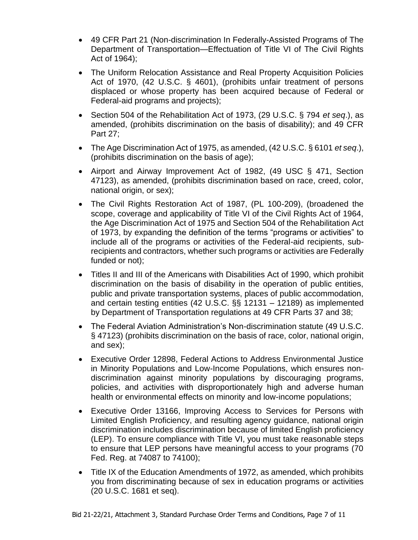- 49 CFR Part 21 (Non-discrimination In Federally-Assisted Programs of The Department of Transportation—Effectuation of Title VI of The Civil Rights Act of 1964);
- The Uniform Relocation Assistance and Real Property Acquisition Policies Act of 1970, (42 U.S.C. § 4601), (prohibits unfair treatment of persons displaced or whose property has been acquired because of Federal or Federal-aid programs and projects);
- Section 504 of the Rehabilitation Act of 1973, (29 U.S.C. § 794 *et seq*.), as amended, (prohibits discrimination on the basis of disability); and 49 CFR Part 27;
- The Age Discrimination Act of 1975, as amended, (42 U.S.C. § 6101 *et seq*.), (prohibits discrimination on the basis of age);
- Airport and Airway Improvement Act of 1982, (49 USC § 471, Section 47123), as amended, (prohibits discrimination based on race, creed, color, national origin, or sex);
- The Civil Rights Restoration Act of 1987, (PL 100-209), (broadened the scope, coverage and applicability of Title VI of the Civil Rights Act of 1964, the Age Discrimination Act of 1975 and Section 504 of the Rehabilitation Act of 1973, by expanding the definition of the terms "programs or activities" to include all of the programs or activities of the Federal-aid recipients, subrecipients and contractors, whether such programs or activities are Federally funded or not);
- Titles II and III of the Americans with Disabilities Act of 1990, which prohibit discrimination on the basis of disability in the operation of public entities, public and private transportation systems, places of public accommodation, and certain testing entities (42 U.S.C. §§ 12131 – 12189) as implemented by Department of Transportation regulations at 49 CFR Parts 37 and 38;
- The Federal Aviation Administration's Non-discrimination statute (49 U.S.C. § 47123) (prohibits discrimination on the basis of race, color, national origin, and sex);
- Executive Order 12898, Federal Actions to Address Environmental Justice in Minority Populations and Low-Income Populations, which ensures nondiscrimination against minority populations by discouraging programs, policies, and activities with disproportionately high and adverse human health or environmental effects on minority and low-income populations;
- Executive Order 13166, Improving Access to Services for Persons with Limited English Proficiency, and resulting agency guidance, national origin discrimination includes discrimination because of limited English proficiency (LEP). To ensure compliance with Title VI, you must take reasonable steps to ensure that LEP persons have meaningful access to your programs (70 Fed. Reg. at 74087 to 74100);
- Title IX of the Education Amendments of 1972, as amended, which prohibits you from discriminating because of sex in education programs or activities (20 U.S.C. 1681 et seq).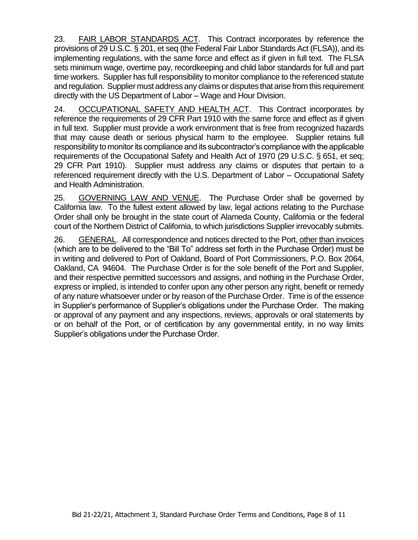23. FAIR LABOR STANDARDS ACT. This Contract incorporates by reference the provisions of 29 U.S.C. § 201, et seq (the Federal Fair Labor Standards Act (FLSA)), and its implementing regulations, with the same force and effect as if given in full text. The FLSA sets minimum wage, overtime pay, recordkeeping and child labor standards for full and part time workers. Supplier has full responsibility to monitor compliance to the referenced statute and regulation. Supplier must address any claims or disputes that arise from this requirement directly with the US Department of Labor – Wage and Hour Division.

24. OCCUPATIONAL SAFETY AND HEALTH ACT.This Contract incorporates by reference the requirements of 29 CFR Part 1910 with the same force and effect as if given in full text. Supplier must provide a work environment that is free from recognized hazards that may cause death or serious physical harm to the employee. Supplier retains full responsibility to monitor its compliance and its subcontractor's compliance with the applicable requirements of the Occupational Safety and Health Act of 1970 (29 U.S.C. § 651, et seq; 29 CFR Part 1910). Supplier must address any claims or disputes that pertain to a referenced requirement directly with the U.S. Department of Labor – Occupational Safety and Health Administration.

25. GOVERNING LAW AND VENUE. The Purchase Order shall be governed by California law. To the fullest extent allowed by law, legal actions relating to the Purchase Order shall only be brought in the state court of Alameda County, California or the federal court of the Northern District of California, to which jurisdictions Supplier irrevocably submits.

26. GENERAL. All correspondence and notices directed to the Port, other than invoices (which are to be delivered to the "Bill To" address set forth in the Purchase Order) must be in writing and delivered to Port of Oakland, Board of Port Commissioners, P.O. Box 2064, Oakland, CA 94604. The Purchase Order is for the sole benefit of the Port and Supplier, and their respective permitted successors and assigns, and nothing in the Purchase Order, express or implied, is intended to confer upon any other person any right, benefit or remedy of any nature whatsoever under or by reason of the Purchase Order. Time is of the essence in Supplier's performance of Supplier's obligations under the Purchase Order. The making or approval of any payment and any inspections, reviews, approvals or oral statements by or on behalf of the Port, or of certification by any governmental entity, in no way limits Supplier's obligations under the Purchase Order.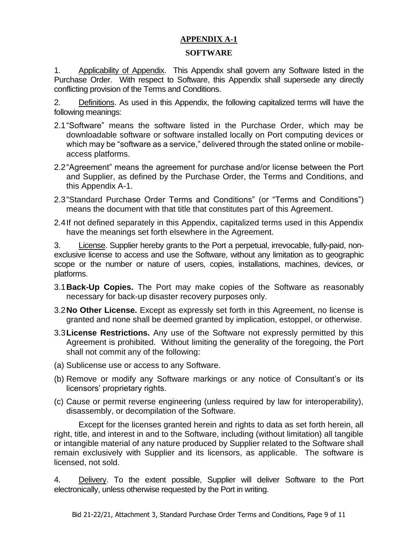# **APPENDIX A-1**

# **SOFTWARE**

1. Applicability of Appendix. This Appendix shall govern any Software listed in the Purchase Order. With respect to Software, this Appendix shall supersede any directly conflicting provision of the Terms and Conditions.

2. Definitions. As used in this Appendix, the following capitalized terms will have the following meanings:

- 2.1"Software" means the software listed in the Purchase Order, which may be downloadable software or software installed locally on Port computing devices or which may be "software as a service," delivered through the stated online or mobileaccess platforms.
- 2.2"Agreement" means the agreement for purchase and/or license between the Port and Supplier, as defined by the Purchase Order, the Terms and Conditions, and this Appendix A-1.
- 2.3"Standard Purchase Order Terms and Conditions" (or "Terms and Conditions") means the document with that title that constitutes part of this Agreement.
- 2.4If not defined separately in this Appendix, capitalized terms used in this Appendix have the meanings set forth elsewhere in the Agreement.

3. License. Supplier hereby grants to the Port a perpetual, irrevocable, fully-paid, nonexclusive license to access and use the Software, without any limitation as to geographic scope or the number or nature of users, copies, installations, machines, devices, or platforms.

- 3.1**Back-Up Copies.** The Port may make copies of the Software as reasonably necessary for back-up disaster recovery purposes only.
- 3.2**No Other License.** Except as expressly set forth in this Agreement, no license is granted and none shall be deemed granted by implication, estoppel, or otherwise.
- 3.3**License Restrictions.** Any use of the Software not expressly permitted by this Agreement is prohibited. Without limiting the generality of the foregoing, the Port shall not commit any of the following:
- (a) Sublicense use or access to any Software.
- (b) Remove or modify any Software markings or any notice of Consultant's or its licensors' proprietary rights.
- (c) Cause or permit reverse engineering (unless required by law for interoperability), disassembly, or decompilation of the Software.

Except for the licenses granted herein and rights to data as set forth herein, all right, title, and interest in and to the Software, including (without limitation) all tangible or intangible material of any nature produced by Supplier related to the Software shall remain exclusively with Supplier and its licensors, as applicable. The software is licensed, not sold.

4. Delivery. To the extent possible, Supplier will deliver Software to the Port electronically, unless otherwise requested by the Port in writing.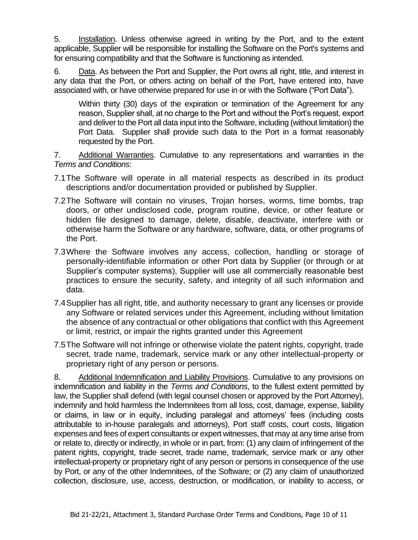5. Installation. Unless otherwise agreed in writing by the Port, and to the extent applicable, Supplier will be responsible for installing the Software on the Port's systems and for ensuring compatibility and that the Software is functioning as intended.

6. Data. As between the Port and Supplier, the Port owns all right, title, and interest in any data that the Port, or others acting on behalf of the Port, have entered into, have associated with, or have otherwise prepared for use in or with the Software ("Port Data").

Within thirty (30) days of the expiration or termination of the Agreement for any reason, Supplier shall, at no charge to the Port and without the Port's request, export and deliver to the Port all data input into the Software, including (without limitation) the Port Data. Supplier shall provide such data to the Port in a format reasonably requested by the Port.

7. Additional Warranties. Cumulative to any representations and warranties in the *Terms and Conditions*:

- 7.1The Software will operate in all material respects as described in its product descriptions and/or documentation provided or published by Supplier.
- 7.2The Software will contain no viruses, Trojan horses, worms, time bombs, trap doors, or other undisclosed code, program routine, device, or other feature or hidden file designed to damage, delete, disable, deactivate, interfere with or otherwise harm the Software or any hardware, software, data, or other programs of the Port.
- 7.3Where the Software involves any access, collection, handling or storage of personally-identifiable information or other Port data by Supplier (or through or at Supplier's computer systems), Supplier will use all commercially reasonable best practices to ensure the security, safety, and integrity of all such information and data.
- 7.4Supplier has all right, title, and authority necessary to grant any licenses or provide any Software or related services under this Agreement, including without limitation the absence of any contractual or other obligations that conflict with this Agreement or limit, restrict, or impair the rights granted under this Agreement
- 7.5The Software will not infringe or otherwise violate the patent rights, copyright, trade secret, trade name, trademark, service mark or any other intellectual-property or proprietary right of any person or persons.

8. Additional Indemnification and Liability Provisions. Cumulative to any provisions on indemnification and liability in the *Terms and Conditions*, to the fullest extent permitted by law, the Supplier shall defend (with legal counsel chosen or approved by the Port Attorney), indemnify and hold harmless the Indemnitees from all loss, cost, damage, expense, liability or claims, in law or in equity, including paralegal and attorneys' fees (including costs attributable to in-house paralegals and attorneys), Port staff costs, court costs, litigation expenses and fees of expert consultants or expert witnesses, that may at any time arise from or relate to, directly or indirectly, in whole or in part, from: (1) any claim of infringement of the patent rights, copyright, trade secret, trade name, trademark, service mark or any other intellectual-property or proprietary right of any person or persons in consequence of the use by Port, or any of the other Indemnitees, of the Software; or (2) any claim of unauthorized collection, disclosure, use, access, destruction, or modification, or inability to access, or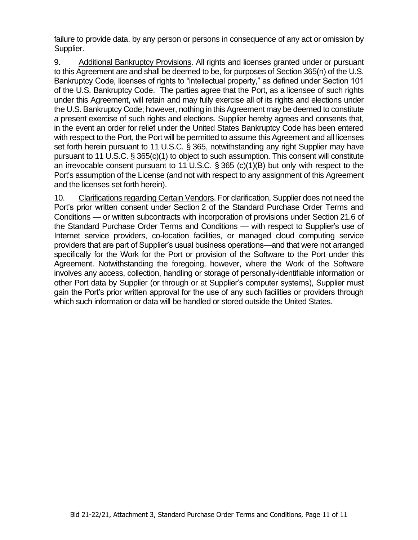failure to provide data, by any person or persons in consequence of any act or omission by Supplier.

9. Additional Bankruptcy Provisions. All rights and licenses granted under or pursuant to this Agreement are and shall be deemed to be, for purposes of Section 365(n) of the U.S. Bankruptcy Code, licenses of rights to "intellectual property," as defined under Section 101 of the U.S. Bankruptcy Code. The parties agree that the Port, as a licensee of such rights under this Agreement, will retain and may fully exercise all of its rights and elections under the U.S. Bankruptcy Code; however, nothing in this Agreement may be deemed to constitute a present exercise of such rights and elections. Supplier hereby agrees and consents that, in the event an order for relief under the United States Bankruptcy Code has been entered with respect to the Port, the Port will be permitted to assume this Agreement and all licenses set forth herein pursuant to 11 U.S.C. § 365, notwithstanding any right Supplier may have pursuant to 11 U.S.C. § 365(c)(1) to object to such assumption. This consent will constitute an irrevocable consent pursuant to 11 U.S.C. § 365 (c)(1)(B) but only with respect to the Port's assumption of the License (and not with respect to any assignment of this Agreement and the licenses set forth herein).

10. Clarifications regarding Certain Vendors. For clarification, Supplier does not need the Port's prior written consent under Section 2 of the Standard Purchase Order Terms and Conditions — or written subcontracts with incorporation of provisions under Section 21.6 of the Standard Purchase Order Terms and Conditions — with respect to Supplier's use of Internet service providers, co-location facilities, or managed cloud computing service providers that are part of Supplier's usual business operations—and that were not arranged specifically for the Work for the Port or provision of the Software to the Port under this Agreement. Notwithstanding the foregoing, however, where the Work of the Software involves any access, collection, handling or storage of personally-identifiable information or other Port data by Supplier (or through or at Supplier's computer systems), Supplier must gain the Port's prior written approval for the use of any such facilities or providers through which such information or data will be handled or stored outside the United States.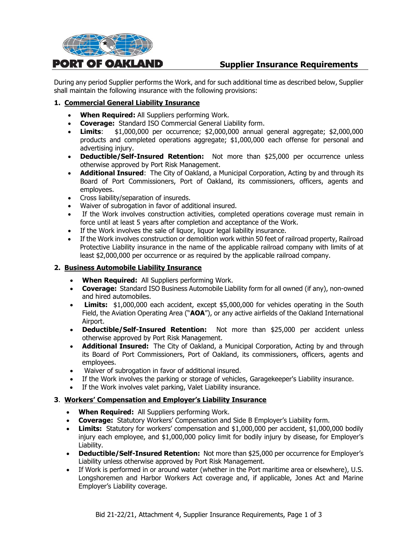

# **Supplier Insurance Requirements**

During any period Supplier performs the Work, and for such additional time as described below, Supplier shall maintain the following insurance with the following provisions:

## **1. Commercial General Liability Insurance**

- **When Required:** All Suppliers performing Work.
- **Coverage:** Standard ISO Commercial General Liability form.
- **Limits**: \$1,000,000 per occurrence; \$2,000,000 annual general aggregate; \$2,000,000 products and completed operations aggregate; \$1,000,000 each offense for personal and advertising injury.
- **Deductible/Self-Insured Retention:** Not more than \$25,000 per occurrence unless otherwise approved by Port Risk Management.
- **Additional Insured**: The City of Oakland, a Municipal Corporation, Acting by and through its Board of Port Commissioners, Port of Oakland, its commissioners, officers, agents and employees.
- Cross liability/separation of insureds.
- Waiver of subrogation in favor of additional insured.
- If the Work involves construction activities, completed operations coverage must remain in force until at least 5 years after completion and acceptance of the Work.
- If the Work involves the sale of liquor, liquor legal liability insurance.
- If the Work involves construction or demolition work within 50 feet of railroad property, Railroad Protective Liability insurance in the name of the applicable railroad company with limits of at least \$2,000,000 per occurrence or as required by the applicable railroad company.

#### **2. Business Automobile Liability Insurance**

- **When Required:** All Suppliers performing Work.
- **Coverage:** Standard ISO Business Automobile Liability form for all owned (if any), non-owned and hired automobiles.
- **Limits:** \$1,000,000 each accident, except \$5,000,000 for vehicles operating in the South Field, the Aviation Operating Area ("**AOA**"), or any active airfields of the Oakland International Airport.
- **Deductible/Self-Insured Retention:** Not more than \$25,000 per accident unless otherwise approved by Port Risk Management.
- **Additional Insured:** The City of Oakland, a Municipal Corporation, Acting by and through its Board of Port Commissioners, Port of Oakland, its commissioners, officers, agents and employees.
- Waiver of subrogation in favor of additional insured.
- If the Work involves the parking or storage of vehicles, Garagekeeper's Liability insurance.
- If the Work involves valet parking, Valet Liability insurance.

#### **3**. **Workers' Compensation and Employer's Liability Insurance**

- **When Required:** All Suppliers performing Work.
- **Coverage:** Statutory Workers' Compensation and Side B Employer's Liability form.
- **Limits:** Statutory for workers' compensation and \$1,000,000 per accident, \$1,000,000 bodily injury each employee, and \$1,000,000 policy limit for bodily injury by disease, for Employer's Liability.
- **Deductible/Self-Insured Retention:** Not more than \$25,000 per occurrence for Employer's Liability unless otherwise approved by Port Risk Management.
- If Work is performed in or around water (whether in the Port maritime area or elsewhere), U.S. Longshoremen and Harbor Workers Act coverage and, if applicable, Jones Act and Marine Employer's Liability coverage.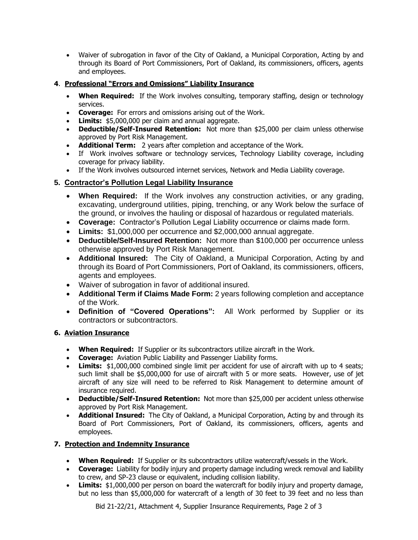• Waiver of subrogation in favor of the City of Oakland, a Municipal Corporation, Acting by and through its Board of Port Commissioners, Port of Oakland, its commissioners, officers, agents and employees.

# **4**. **Professional "Errors and Omissions" Liability Insurance**

- **When Required:** If the Work involves consulting, temporary staffing, design or technology services.
- **Coverage:** For errors and omissions arising out of the Work.
- **Limits:** \$5,000,000 per claim and annual aggregate.
- **Deductible/Self-Insured Retention:** Not more than \$25,000 per claim unless otherwise approved by Port Risk Management.
- **Additional Term:** 2 years after completion and acceptance of the Work.
- If Work involves software or technology services, Technology Liability coverage, including coverage for privacy liability.
- If the Work involves outsourced internet services, Network and Media Liability coverage.

# **5. Contractor's Pollution Legal Liability Insurance**

- **When Required:** If the Work involves any construction activities, or any grading, excavating, underground utilities, piping, trenching, or any Work below the surface of the ground, or involves the hauling or disposal of hazardous or regulated materials.
- **Coverage:** Contractor's Pollution Legal Liability occurrence or claims made form.
- **Limits:** \$1,000,000 per occurrence and \$2,000,000 annual aggregate.
- **Deductible/Self-Insured Retention:** Not more than \$100,000 per occurrence unless otherwise approved by Port Risk Management.
- **Additional Insured:** The City of Oakland, a Municipal Corporation, Acting by and through its Board of Port Commissioners, Port of Oakland, its commissioners, officers, agents and employees.
- Waiver of subrogation in favor of additional insured.
- **Additional Term if Claims Made Form:** 2 years following completion and acceptance of the Work.
- **Definition of "Covered Operations":** All Work performed by Supplier or its contractors or subcontractors.

## **6. Aviation Insurance**

- **When Required:** If Supplier or its subcontractors utilize aircraft in the Work.
- **Coverage:** Aviation Public Liability and Passenger Liability forms.
- **Limits:** \$1,000,000 combined single limit per accident for use of aircraft with up to 4 seats: such limit shall be \$5,000,000 for use of aircraft with 5 or more seats. However, use of jet aircraft of any size will need to be referred to Risk Management to determine amount of insurance required.
- **Deductible/Self-Insured Retention:** Not more than \$25,000 per accident unless otherwise approved by Port Risk Management.
- **Additional Insured:** The City of Oakland, a Municipal Corporation, Acting by and through its Board of Port Commissioners, Port of Oakland, its commissioners, officers, agents and employees.

## **7. Protection and Indemnity Insurance**

- **When Required:** If Supplier or its subcontractors utilize watercraft/vessels in the Work.
- **Coverage:** Liability for bodily injury and property damage including wreck removal and liability to crew, and SP-23 clause or equivalent, including collision liability.
- **Limits:** \$1,000,000 per person on board the watercraft for bodily injury and property damage, but no less than \$5,000,000 for watercraft of a length of 30 feet to 39 feet and no less than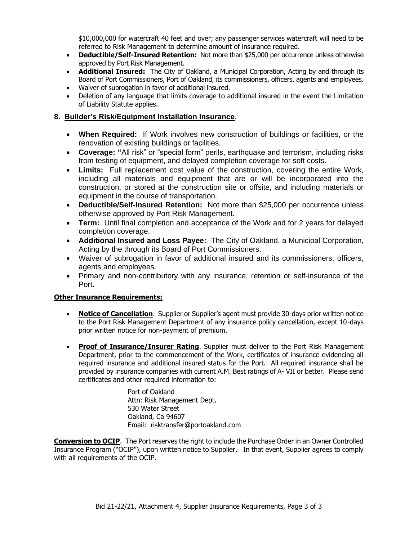\$10,000,000 for watercraft 40 feet and over; any passenger services watercraft will need to be referred to Risk Management to determine amount of insurance required.

- **Deductible/Self-Insured Retention:** Not more than \$25,000 per occurrence unless otherwise approved by Port Risk Management.
- **Additional Insured:** The City of Oakland, a Municipal Corporation, Acting by and through its Board of Port Commissioners, Port of Oakland, its commissioners, officers, agents and employees.
- Waiver of subrogation in favor of additional insured.
- Deletion of any language that limits coverage to additional insured in the event the Limitation of Liability Statute applies.

# **8. Builder's Risk/Equipment Installation Insurance**.

- **When Required:** If Work involves new construction of buildings or facilities, or the renovation of existing buildings or facilities.
- **Coverage: "**All risk" or "special form" perils, earthquake and terrorism, including risks from testing of equipment, and delayed completion coverage for soft costs.
- **Limits:** Full replacement cost value of the construction, covering the entire Work, including all materials and equipment that are or will be incorporated into the construction, or stored at the construction site or offsite, and including materials or equipment in the course of transportation.
- **Deductible/Self-Insured Retention:** Not more than \$25,000 per occurrence unless otherwise approved by Port Risk Management.
- **Term:** Until final completion and acceptance of the Work and for 2 years for delayed completion coverage.
- **Additional Insured and Loss Payee:** The City of Oakland, a Municipal Corporation, Acting by the through its Board of Port Commissioners.
- Waiver of subrogation in favor of additional insured and its commissioners, officers, agents and employees.
- Primary and non-contributory with any insurance, retention or self-insurance of the Port.

## **Other Insurance Requirements:**

- **Notice of Cancellation**. Supplier or Supplier's agent must provide 30-days prior written notice to the Port Risk Management Department of any insurance policy cancellation, except 10-days prior written notice for non-payment of premium.
- **Proof of Insurance/Insurer Rating**. Supplier must deliver to the Port Risk Management Department, prior to the commencement of the Work, certificates of insurance evidencing all required insurance and additional insured status for the Port. All required insurance shall be provided by insurance companies with current A.M. Best ratings of A- VII or better. Please send certificates and other required information to:

Port of Oakland Attn: Risk Management Dept. 530 Water Street Oakland, Ca 94607 Email: risktransfer@portoakland.com

**Conversion to OCIP**. The Port reserves the right to include the Purchase Order in an Owner Controlled Insurance Program ("OCIP"), upon written notice to Supplier. In that event, Supplier agrees to comply with all requirements of the OCIP.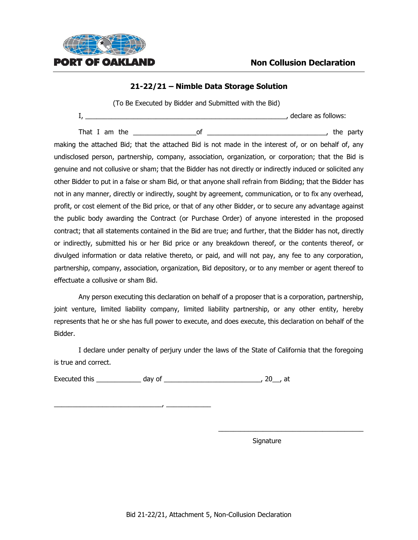

# **21-22/21 – Nimble Data Storage Solution**

(To Be Executed by Bidder and Submitted with the Bid)

I, \_\_\_\_\_\_\_\_\_\_\_\_\_\_\_\_\_\_\_\_\_\_\_\_\_\_\_\_\_\_\_\_\_\_\_\_\_\_\_\_\_\_\_\_\_\_\_\_\_\_\_\_\_\_, declare as follows:

That I am the the set of the set of the party of the party of the party making the attached Bid; that the attached Bid is not made in the interest of, or on behalf of, any undisclosed person, partnership, company, association, organization, or corporation; that the Bid is genuine and not collusive or sham; that the Bidder has not directly or indirectly induced or solicited any other Bidder to put in a false or sham Bid, or that anyone shall refrain from Bidding; that the Bidder has not in any manner, directly or indirectly, sought by agreement, communication, or to fix any overhead, profit, or cost element of the Bid price, or that of any other Bidder, or to secure any advantage against the public body awarding the Contract (or Purchase Order) of anyone interested in the proposed contract; that all statements contained in the Bid are true; and further, that the Bidder has not, directly or indirectly, submitted his or her Bid price or any breakdown thereof, or the contents thereof, or divulged information or data relative thereto, or paid, and will not pay, any fee to any corporation, partnership, company, association, organization, Bid depository, or to any member or agent thereof to effectuate a collusive or sham Bid.

Any person executing this declaration on behalf of a proposer that is a corporation, partnership, joint venture, limited liability company, limited liability partnership, or any other entity, hereby represents that he or she has full power to execute, and does execute, this declaration on behalf of the Bidder.

I declare under penalty of perjury under the laws of the State of California that the foregoing is true and correct.

Executed this \_\_\_\_\_\_\_\_\_\_\_\_ day of \_\_\_\_\_\_\_\_\_\_\_\_\_\_\_\_\_\_\_\_\_\_\_\_\_\_, 20\_\_, at

\_\_\_\_\_\_\_\_\_\_\_\_\_\_\_\_\_\_\_\_\_\_\_\_\_\_\_\_\_, \_\_\_\_\_\_\_\_\_\_\_\_

Signature

\_\_\_\_\_\_\_\_\_\_\_\_\_\_\_\_\_\_\_\_\_\_\_\_\_\_\_\_\_\_\_\_\_\_\_\_\_\_\_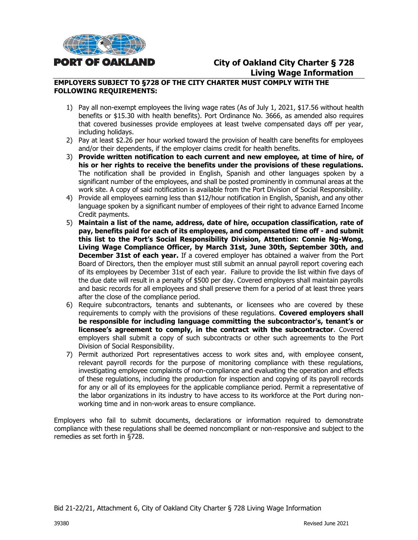

# **City of Oakland City Charter § 728 Living Wage Information**

# **EMPLOYERS SUBJECT TO §728 OF THE CITY CHARTER MUST COMPLY WITH THE FOLLOWING REQUIREMENTS:**

- 1) Pay all non-exempt employees the living wage rates (As of July 1, 2021, \$17.56 without health benefits or \$15.30 with health benefits). Port Ordinance No. 3666, as amended also requires that covered businesses provide employees at least twelve compensated days off per year, including holidays.
- 2) Pay at least \$2.26 per hour worked toward the provision of health care benefits for employees and/or their dependents, if the employer claims credit for health benefits.
- 3) **Provide written notification to each current and new employee, at time of hire, of his or her rights to receive the benefits under the provisions of these regulations.** The notification shall be provided in English, Spanish and other languages spoken by a significant number of the employees, and shall be posted prominently in communal areas at the work site. A copy of said notification is available from the Port Division of Social Responsibility.
- 4) Provide all employees earning less than \$12/hour notification in English, Spanish, and any other language spoken by a significant number of employees of their right to advance Earned Income Credit payments.
- 5) **Maintain a list of the name, address, date of hire, occupation classification, rate of pay, benefits paid for each of its employees, and compensated time off - and submit this list to the Port's Social Responsibility Division, Attention: Connie Ng-Wong, Living Wage Compliance Officer, by March 31st, June 30th, September 30th, and December 31st of each year.** If a covered employer has obtained a waiver from the Port Board of Directors, then the employer must still submit an annual payroll report covering each of its employees by December 31st of each year. Failure to provide the list within five days of the due date will result in a penalty of \$500 per day. Covered employers shall maintain payrolls and basic records for all employees and shall preserve them for a period of at least three years after the close of the compliance period.
- 6) Require subcontractors, tenants and subtenants, or licensees who are covered by these requirements to comply with the provisions of these regulations. **Covered employers shall be responsible for including language committing the subcontractor's, tenant's or licensee's agreement to comply, in the contract with the subcontractor**. Covered employers shall submit a copy of such subcontracts or other such agreements to the Port Division of Social Responsibility.
- 7) Permit authorized Port representatives access to work sites and, with employee consent, relevant payroll records for the purpose of monitoring compliance with these regulations, investigating employee complaints of non-compliance and evaluating the operation and effects of these regulations, including the production for inspection and copying of its payroll records for any or all of its employees for the applicable compliance period. Permit a representative of the labor organizations in its industry to have access to its workforce at the Port during nonworking time and in non-work areas to ensure compliance.

Employers who fail to submit documents, declarations or information required to demonstrate compliance with these regulations shall be deemed noncompliant or non-responsive and subject to the remedies as set forth in §728.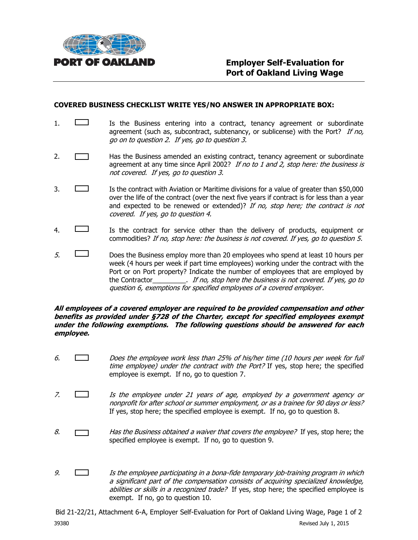

#### **COVERED BUSINESS CHECKLIST WRITE YES/NO ANSWER IN APPROPRIATE BOX:**

- 1.  $\Box$  Is the Business entering into a contract, tenancy agreement or subordinate agreement (such as, subcontract, subtenancy, or sublicense) with the Port? If no, go on to question 2. If yes, go to question 3.
- 2. **Has the Business amended an existing contract, tenancy agreement or subordinate** agreement at any time since April 2002? If no to 1 and 2, stop here: the business is not covered. If yes, go to question 3.
- 3. Is the contract with Aviation or Maritime divisions for a value of greater than \$50,000 over the life of the contract (over the next five years if contract is for less than a year and expected to be renewed or extended)? If no, stop here; the contract is not covered. If yes, go to question 4.
- 4. Is the contract for service other than the delivery of products, equipment or commodities? If no, stop here: the business is not covered. If yes, go to question 5.
- $5.$  Does the Business employ more than 20 employees who spend at least 10 hours per week (4 hours per week if part time employees) working under the contract with the Port or on Port property? Indicate the number of employees that are employed by the Contractor\_\_\_\_\_\_\_\_\_. If no, stop here the business is not covered. If yes, go to question 6, exemptions for specified employees of a covered employer.

#### **All employees of a covered employer are required to be provided compensation and other benefits as provided under §728 of the Charter, except for specified employees exempt under the following exemptions. The following questions should be answered for each employee.**

- 6. Does the employee work less than 25% of his/her time (10 hours per week for full time employee) under the contract with the Port? If yes, stop here; the specified employee is exempt. If no, go to question 7.
- 7. Is the employee under 21 years of age, employed by a government agency or nonprofit for after school or summer employment, or as a trainee for 90 days or less? If yes, stop here; the specified employee is exempt. If no, go to question 8.
- 8.  $\Box$  Has the Business obtained a waiver that covers the employee? If yes, stop here; the specified employee is exempt. If no, go to question 9.
- 9.  $\Box$  Is the employee participating in a bona-fide temporary job-training program in which a significant part of the compensation consists of acquiring specialized knowledge, abilities or skills in a recognized trade? If yes, stop here; the specified employee is exempt. If no, go to question 10.

Bid 21-22/21, Attachment 6-A, Employer Self-Evaluation for Port of Oakland Living Wage, Page 1 of 2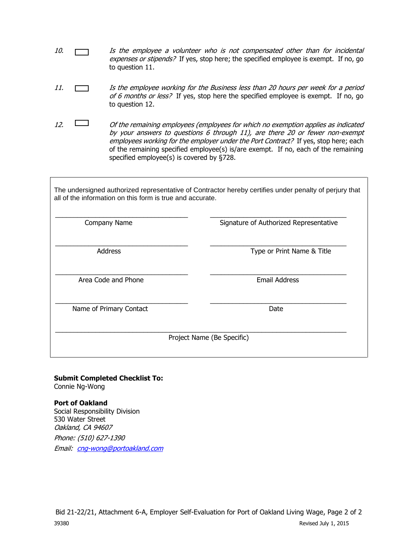- 10.  $\Box$  Is the employee a volunteer who is not compensated other than for incidental expenses or stipends? If yes, stop here; the specified employee is exempt. If no, go to question 11.
- 11. Is the employee working for the Business less than 20 hours per week for a period of 6 months or less? If yes, stop here the specified employee is exempt. If no, go to question 12.
- 12.  $\Box$  Of the remaining employees (employees for which no exemption applies as indicated by your answers to questions 6 through 11), are there 20 or fewer non-exempt employees working for the employer under the Port Contract? If yes, stop here; each of the remaining specified employee(s) is/are exempt. If no, each of the remaining specified employee(s) is covered by §728.

The undersigned authorized representative of Contractor hereby certifies under penalty of perjury that all of the information on this form is true and accurate.

| Company Name            | Signature of Authorized Representative |
|-------------------------|----------------------------------------|
| <b>Address</b>          | Type or Print Name & Title             |
| Area Code and Phone     | <b>Email Address</b>                   |
| Name of Primary Contact | Date                                   |
|                         | Project Name (Be Specific)             |

# **Submit Completed Checklist To:**

Connie Ng-Wong

**Port of Oakland**  Social Responsibility Division 530 Water Street Oakland, CA 94607 Phone: (510) 627-1390 Email: [cng-wong@portoakland.com](mailto:cng-wong@portoakland.com)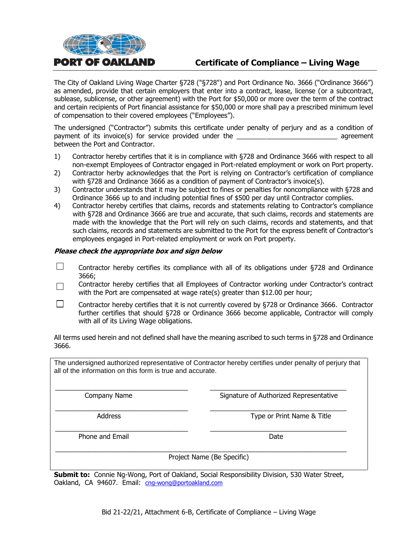

# **Certificate of Compliance – Living Wage**

The City of Oakland Living Wage Charter §728 ("§728") and Port Ordinance No. 3666 ("Ordinance 3666") as amended, provide that certain employers that enter into a contract, lease, license (or a subcontract, sublease, sublicense, or other agreement) with the Port for \$50,000 or more over the term of the contract and certain recipients of Port financial assistance for \$50,000 or more shall pay a prescribed minimum level of compensation to their covered employees ("Employees").

The undersigned ("Contractor") submits this certificate under penalty of perjury and as a condition of payment of its invoice(s) for service provided under the **Example 2** agreement between the Port and Contractor.

- 1) Contractor hereby certifies that it is in compliance with §728 and Ordinance 3666 with respect to all non-exempt Employees of Contractor engaged in Port-related employment or work on Port property.
- 2) Contractor herby acknowledges that the Port is relying on Contractor's certification of compliance with §728 and Ordinance 3666 as a condition of payment of Contractor's invoice(s).
- 3) Contractor understands that it may be subject to fines or penalties for noncompliance with §728 and Ordinance 3666 up to and including potential fines of \$500 per day until Contractor complies.
- 4) Contractor hereby certifies that claims, records and statements relating to Contractor's compliance with §728 and Ordinance 3666 are true and accurate, that such claims, records and statements are made with the knowledge that the Port will rely on such claims, records and statements, and that such claims, records and statements are submitted to the Port for the express benefit of Contractor's employees engaged in Port-related employment or work on Port property.

#### **Please check the appropriate box and sign below**

- П Contractor hereby certifies its compliance with all of its obligations under §728 and Ordinance 3666;
- Contractor hereby certifies that all Employees of Contractor working under Contractor's contract  $\Box$ with the Port are compensated at wage rate(s) greater than \$12.00 per hour;
- П Contractor hereby certifies that it is not currently covered by §728 or Ordinance 3666. Contractor further certifies that should §728 or Ordinance 3666 become applicable, Contractor will comply with all of its Living Wage obligations.

All terms used herein and not defined shall have the meaning ascribed to such terms in §728 and Ordinance 3666.

The undersigned authorized representative of Contractor hereby certifies under penalty of perjury that all of the information on this form is true and accurate.

\_\_\_\_\_\_\_\_\_\_\_\_\_\_\_\_\_\_\_\_\_\_\_\_\_\_\_\_\_\_\_\_\_\_\_\_ \_\_\_\_\_\_\_\_\_\_\_\_\_\_\_\_\_\_\_\_\_\_\_\_\_\_\_\_\_\_\_\_\_\_\_\_\_ Company Name **Signature of Authorized Representative** 

\_\_\_\_\_\_\_\_\_\_\_\_\_\_\_\_\_\_\_\_\_\_\_\_\_\_\_\_\_\_\_\_\_\_\_\_ \_\_\_\_\_\_\_\_\_\_\_\_\_\_\_\_\_\_\_\_\_\_\_\_\_\_\_\_\_\_\_\_\_\_\_\_\_ Address **Address** Type or Print Name & Title

Phone and Email Date and Email Date Date and Email Date Date Date Date Date

Project Name (Be Specific)

**Submit to:** Connie Ng-Wong, Port of Oakland, Social Responsibility Division, 530 Water Street, Oakland, CA 94607. Email: [cng-wong@portoakland.com](mailto:cng-wong@portoakland.com)

\_\_\_\_\_\_\_\_\_\_\_\_\_\_\_\_\_\_\_\_\_\_\_\_\_\_\_\_\_\_\_\_\_\_\_\_ \_\_\_\_\_\_\_\_\_\_\_\_\_\_\_\_\_\_\_\_\_\_\_\_\_\_\_\_\_\_\_\_\_\_\_\_\_

\_\_\_\_\_\_\_\_\_\_\_\_\_\_\_\_\_\_\_\_\_\_\_\_\_\_\_\_\_\_\_\_\_\_\_\_\_\_\_\_\_\_\_\_\_\_\_\_\_\_\_\_\_\_\_\_\_\_\_\_\_\_\_\_\_\_\_\_\_\_\_\_\_\_\_\_\_\_\_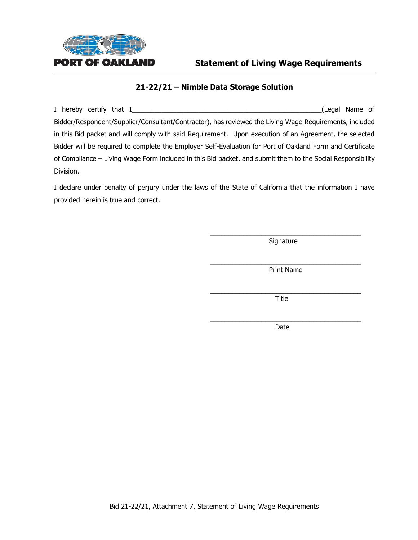

# **Statement of Living Wage Requirements**

# **21-22/21 – Nimble Data Storage Solution**

I hereby certify that I\_\_\_\_\_\_\_\_\_\_\_\_\_\_\_\_\_\_\_\_\_\_\_\_\_\_\_\_\_\_\_\_\_\_\_\_\_\_\_\_\_\_\_\_\_\_\_\_\_\_\_(Legal Name of Bidder/Respondent/Supplier/Consultant/Contractor), has reviewed the Living Wage Requirements, included in this Bid packet and will comply with said Requirement. Upon execution of an Agreement, the selected Bidder will be required to complete the Employer Self-Evaluation for Port of Oakland Form and Certificate of Compliance – Living Wage Form included in this Bid packet, and submit them to the Social Responsibility Division.

I declare under penalty of perjury under the laws of the State of California that the information I have provided herein is true and correct.

> \_\_\_\_\_\_\_\_\_\_\_\_\_\_\_\_\_\_\_\_\_\_\_\_\_\_\_\_\_\_\_\_\_\_\_\_\_\_\_\_\_ **Signature**

> \_\_\_\_\_\_\_\_\_\_\_\_\_\_\_\_\_\_\_\_\_\_\_\_\_\_\_\_\_\_\_\_\_\_\_\_\_\_\_\_\_ Print Name

> \_\_\_\_\_\_\_\_\_\_\_\_\_\_\_\_\_\_\_\_\_\_\_\_\_\_\_\_\_\_\_\_\_\_\_\_\_\_\_\_\_ Title

> \_\_\_\_\_\_\_\_\_\_\_\_\_\_\_\_\_\_\_\_\_\_\_\_\_\_\_\_\_\_\_\_\_\_\_\_\_\_\_\_\_ Date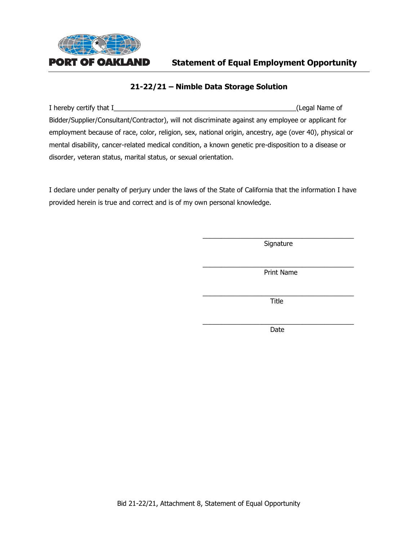

# **Statement of Equal Employment Opportunity**

# **21-22/21 – Nimble Data Storage Solution**

I hereby certify that I\_\_\_\_\_\_\_\_\_\_\_\_\_\_\_\_\_\_\_\_\_\_\_\_\_\_\_\_\_\_\_\_\_\_\_\_\_\_\_\_\_\_\_\_\_\_\_\_\_(Legal Name of Bidder/Supplier/Consultant/Contractor), will not discriminate against any employee or applicant for employment because of race, color, religion, sex, national origin, ancestry, age (over 40), physical or mental disability, cancer-related medical condition, a known genetic pre-disposition to a disease or disorder, veteran status, marital status, or sexual orientation.

I declare under penalty of perjury under the laws of the State of California that the information I have provided herein is true and correct and is of my own personal knowledge.

> \_\_\_\_\_\_\_\_\_\_\_\_\_\_\_\_\_\_\_\_\_\_\_\_\_\_\_\_\_\_\_\_\_\_\_\_\_\_\_\_\_ **Signature**

> \_\_\_\_\_\_\_\_\_\_\_\_\_\_\_\_\_\_\_\_\_\_\_\_\_\_\_\_\_\_\_\_\_\_\_\_\_\_\_\_\_ Print Name

> \_\_\_\_\_\_\_\_\_\_\_\_\_\_\_\_\_\_\_\_\_\_\_\_\_\_\_\_\_\_\_\_\_\_\_\_\_\_\_\_\_ Title

> \_\_\_\_\_\_\_\_\_\_\_\_\_\_\_\_\_\_\_\_\_\_\_\_\_\_\_\_\_\_\_\_\_\_\_\_\_\_\_\_\_ Date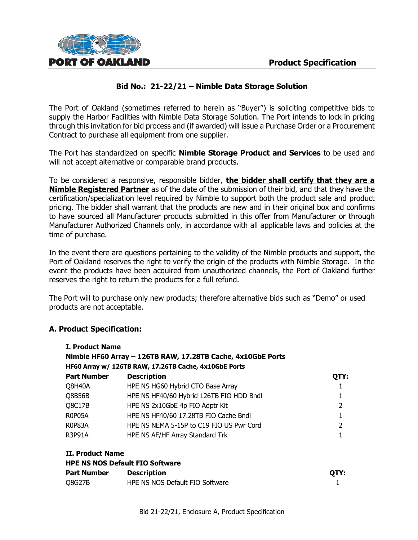

The Port of Oakland (sometimes referred to herein as "Buyer") is soliciting competitive bids to supply the Harbor Facilities with Nimble Data Storage Solution. The Port intends to lock in pricing through this invitation for bid process and (if awarded) will issue a Purchase Order or a Procurement Contract to purchase all equipment from one supplier.

The Port has standardized on specific **Nimble Storage Product and Services** to be used and will not accept alternative or comparable brand products.

To be considered a responsive, responsible bidder, **the bidder shall certify that they are a Nimble Registered Partner** as of the date of the submission of their bid, and that they have the certification/specialization level required by Nimble to support both the product sale and product pricing. The bidder shall warrant that the products are new and in their original box and confirms to have sourced all Manufacturer products submitted in this offer from Manufacturer or through Manufacturer Authorized Channels only, in accordance with all applicable laws and policies at the time of purchase.

In the event there are questions pertaining to the validity of the Nimble products and support, the Port of Oakland reserves the right to verify the origin of the products with Nimble Storage. In the event the products have been acquired from unauthorized channels, the Port of Oakland further reserves the right to return the products for a full refund.

The Port will to purchase only new products; therefore alternative bids such as "Demo" or used products are not acceptable.

## **A. Product Specification:**

| <b>I. Product Name</b>                                                                                               |                                          |      |  |  |  |  |
|----------------------------------------------------------------------------------------------------------------------|------------------------------------------|------|--|--|--|--|
| Nimble HF60 Array - 126TB RAW, 17.28TB Cache, 4x10GbE Ports<br>HF60 Array w/ 126TB RAW, 17.26TB Cache, 4x10GbE Ports |                                          |      |  |  |  |  |
|                                                                                                                      |                                          |      |  |  |  |  |
| Q8H40A                                                                                                               | HPE NS HG60 Hybrid CTO Base Array        |      |  |  |  |  |
| Q8B56B                                                                                                               | HPE NS HF40/60 Hybrid 126TB FIO HDD Bndl |      |  |  |  |  |
| Q8C17B                                                                                                               | HPE NS 2x10GbE 4p FIO Adptr Kit          | 2    |  |  |  |  |
| R0P05A                                                                                                               | HPE NS HF40/60 17.28TB FIO Cache Bndl    |      |  |  |  |  |
| <b>R0P83A</b>                                                                                                        | HPE NS NEMA 5-15P to C19 FIO US Pwr Cord | 2    |  |  |  |  |
| <b>R3P91A</b>                                                                                                        | HPE NS AF/HF Array Standard Trk          |      |  |  |  |  |
| II. Product Name                                                                                                     |                                          |      |  |  |  |  |
|                                                                                                                      | <b>HPE NS NOS Default FIO Software</b>   |      |  |  |  |  |
| <b>Part Number</b>                                                                                                   | <b>Description</b>                       | OTY: |  |  |  |  |
| <b>Q8G27B</b>                                                                                                        | HPE NS NOS Default FIO Software          |      |  |  |  |  |